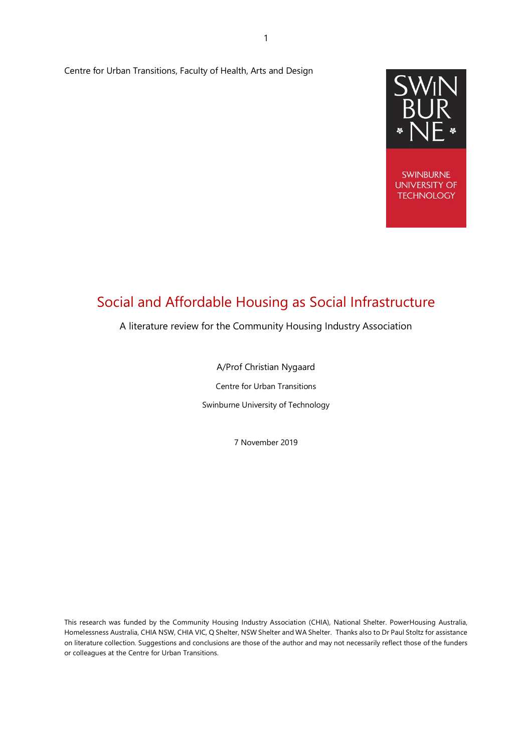Centre for Urban Transitions, Faculty of Health, Arts and Design



**SWINBURNE UNIVERSITY OF TECHNOLOGY** 

# Social and Affordable Housing as Social Infrastructure

# A literature review for the Community Housing Industry Association

A/Prof Christian Nygaard Centre for Urban Transitions Swinburne University of Technology

7 November 2019

This research was funded by the Community Housing Industry Association (CHIA), National Shelter. PowerHousing Australia, Homelessness Australia, CHIA NSW, CHIA VIC, Q Shelter, NSW Shelter and WA Shelter. Thanks also to Dr Paul Stoltz for assistance on literature collection. Suggestions and conclusions are those of the author and may not necessarily reflect those of the funders or colleagues at the Centre for Urban Transitions.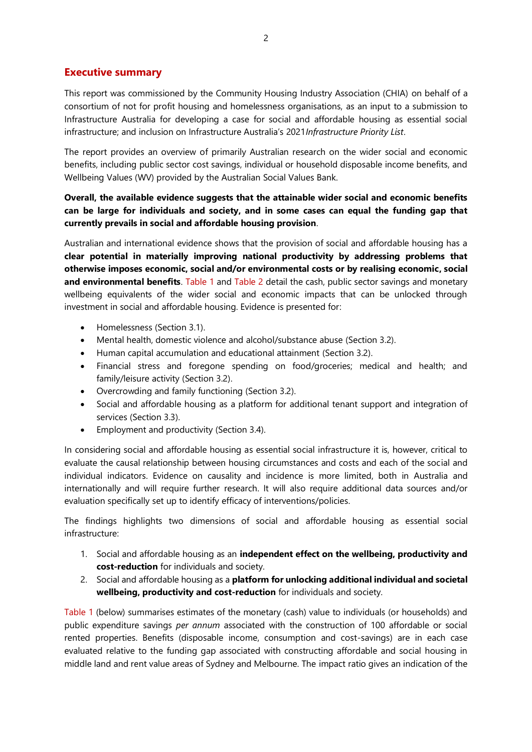# <span id="page-1-0"></span>**Executive summary**

This report was commissioned by the Community Housing Industry Association (CHIA) on behalf of a consortium of not for profit housing and homelessness organisations, as an input to a submission to Infrastructure Australia for developing a case for social and affordable housing as essential social infrastructure; and inclusion on Infrastructure Australia's 2021*Infrastructure Priority List*.

The report provides an overview of primarily Australian research on the wider social and economic benefits, including public sector cost savings, individual or household disposable income benefits, and Wellbeing Values (WV) provided by the Australian Social Values Bank.

# **Overall, the available evidence suggests that the attainable wider social and economic benefits can be large for individuals and society, and in some cases can equal the funding gap that currently prevails in social and affordable housing provision**.

Australian and international evidence shows that the provision of social and affordable housing has a **clear potential in materially improving national productivity by addressing problems that otherwise imposes economic, social and/or environmental costs or by realising economic, social and environmental benefits**. [Table 1](#page-3-0) and [Table 2](#page-4-0) detail the cash, public sector savings and monetary wellbeing equivalents of the wider social and economic impacts that can be unlocked through investment in social and affordable housing. Evidence is presented for:

- Homelessness (Section 3.1).
- Mental health, domestic violence and alcohol/substance abuse (Section 3.2).
- Human capital accumulation and educational attainment (Section 3.2).
- Financial stress and foregone spending on food/groceries; medical and health; and family/leisure activity (Section 3.2).
- Overcrowding and family functioning (Section 3.2).
- Social and affordable housing as a platform for additional tenant support and integration of services (Section 3.3).
- Employment and productivity (Section 3.4).

In considering social and affordable housing as essential social infrastructure it is, however, critical to evaluate the causal relationship between housing circumstances and costs and each of the social and individual indicators. Evidence on causality and incidence is more limited, both in Australia and internationally and will require further research. It will also require additional data sources and/or evaluation specifically set up to identify efficacy of interventions/policies.

The findings highlights two dimensions of social and affordable housing as essential social infrastructure:

- 1. Social and affordable housing as an **independent effect on the wellbeing, productivity and cost-reduction** for individuals and society.
- 2. Social and affordable housing as a **platform for unlocking additional individual and societal wellbeing, productivity and cost-reduction** for individuals and society.

[Table 1](#page-3-0) (below) summarises estimates of the monetary (cash) value to individuals (or households) and public expenditure savings *per annum* associated with the construction of 100 affordable or social rented properties. Benefits (disposable income, consumption and cost-savings) are in each case evaluated relative to the funding gap associated with constructing affordable and social housing in middle land and rent value areas of Sydney and Melbourne. The impact ratio gives an indication of the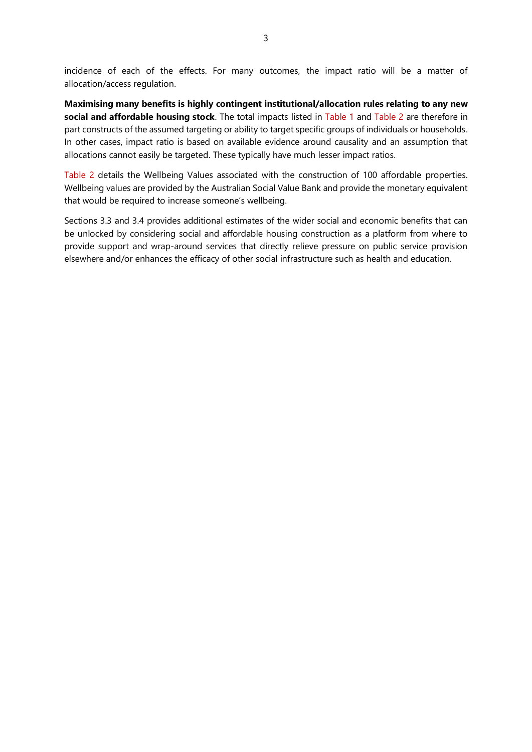incidence of each of the effects. For many outcomes, the impact ratio will be a matter of allocation/access regulation.

**Maximising many benefits is highly contingent institutional/allocation rules relating to any new social and affordable housing stock**. The total impacts listed in [Table 1](#page-3-0) and [Table 2](#page-4-0) are therefore in part constructs of the assumed targeting or ability to target specific groups of individuals or households. In other cases, impact ratio is based on available evidence around causality and an assumption that allocations cannot easily be targeted. These typically have much lesser impact ratios.

[Table 2](#page-4-0) details the Wellbeing Values associated with the construction of 100 affordable properties. Wellbeing values are provided by the Australian Social Value Bank and provide the monetary equivalent that would be required to increase someone's wellbeing.

Sections 3.3 and 3.4 provides additional estimates of the wider social and economic benefits that can be unlocked by considering social and affordable housing construction as a platform from where to provide support and wrap-around services that directly relieve pressure on public service provision elsewhere and/or enhances the efficacy of other social infrastructure such as health and education.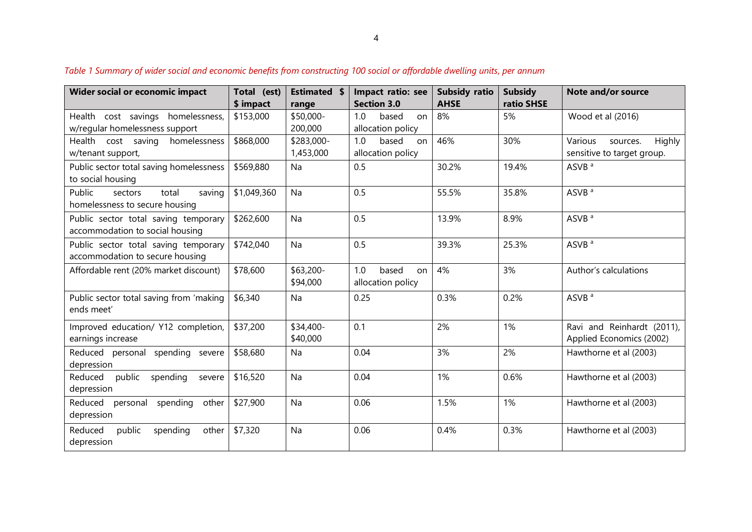<span id="page-3-0"></span>

| <b>Wider social or economic impact</b>                                    | Total (est)<br>\$ impact | <b>Estimated \$</b><br>range | Impact ratio: see<br><b>Section 3.0</b> | <b>Subsidy ratio</b><br><b>AHSE</b> | <b>Subsidy</b><br>ratio SHSE | Note and/or source                                          |
|---------------------------------------------------------------------------|--------------------------|------------------------------|-----------------------------------------|-------------------------------------|------------------------------|-------------------------------------------------------------|
| cost savings<br>homelessness,<br>Health<br>w/regular homelessness support | \$153,000                | \$50,000-<br>200,000         | 1.0<br>based<br>on<br>allocation policy | 8%                                  | 5%                           | Wood et al (2016)                                           |
| Health cost saving<br>homelessness<br>w/tenant support,                   | \$868,000                | \$283,000-<br>1,453,000      | 1.0<br>based<br>on<br>allocation policy | 46%                                 | 30%                          | Various<br>Highly<br>sources.<br>sensitive to target group. |
| Public sector total saving homelessness<br>to social housing              | \$569,880                | Na                           | 0.5                                     | 30.2%                               | 19.4%                        | ASVB <sup>a</sup>                                           |
| Public<br>total<br>saving<br>sectors<br>homelessness to secure housing    | \$1,049,360              | Na                           | 0.5                                     | 55.5%                               | 35.8%                        | ASVB <sup>a</sup>                                           |
| Public sector total saving temporary<br>accommodation to social housing   | \$262,600                | Na                           | 0.5                                     | 13.9%                               | 8.9%                         | ASVB <sup>a</sup>                                           |
| Public sector total saving temporary<br>accommodation to secure housing   | \$742,040                | Na                           | 0.5                                     | 39.3%                               | 25.3%                        | ASVB <sup>a</sup>                                           |
| Affordable rent (20% market discount)                                     | \$78,600                 | \$63,200-<br>\$94,000        | 1.0<br>based<br>on<br>allocation policy | 4%                                  | 3%                           | Author's calculations                                       |
| Public sector total saving from 'making<br>ends meet'                     | \$6,340                  | Na                           | 0.25                                    | 0.3%                                | 0.2%                         | ASVB <sup>a</sup>                                           |
| Improved education/ Y12 completion,<br>earnings increase                  | \$37,200                 | \$34,400-<br>\$40,000        | 0.1                                     | 2%                                  | 1%                           | Ravi and Reinhardt (2011),<br>Applied Economics (2002)      |
| Reduced personal<br>spending severe<br>depression                         | \$58,680                 | Na                           | 0.04                                    | 3%                                  | 2%                           | Hawthorne et al (2003)                                      |
| Reduced<br>public spending<br>severe<br>depression                        | \$16,520                 | Na                           | 0.04                                    | 1%                                  | 0.6%                         | Hawthorne et al (2003)                                      |
| Reduced personal<br>spending<br>other<br>depression                       | \$27,900                 | Na                           | 0.06                                    | 1.5%                                | 1%                           | Hawthorne et al (2003)                                      |
| Reduced<br>public<br>spending<br>other<br>depression                      | \$7,320                  | Na                           | 0.06                                    | 0.4%                                | 0.3%                         | Hawthorne et al (2003)                                      |

*Table 1 Summary of wider social and economic benefits from constructing 100 social or affordable dwelling units, per annum*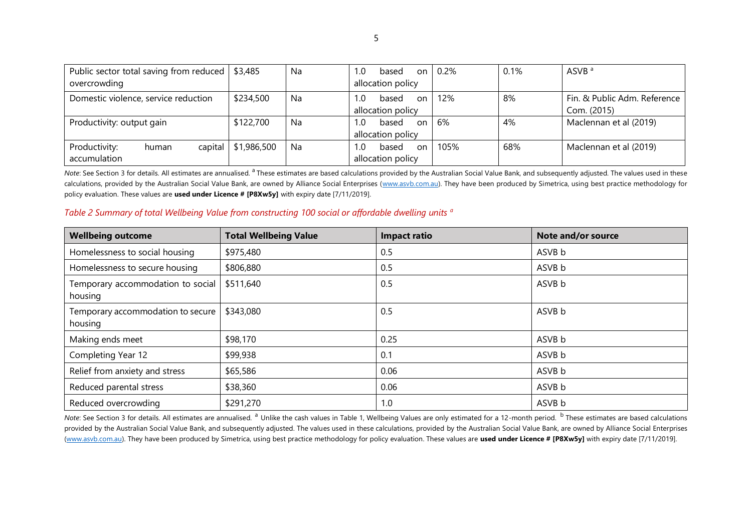| Public sector total saving from reduced   \$3,485 |                        | Na        | 1.0<br>based<br>on | 0.2% | 0.1% | ASVB <sup>a</sup>            |
|---------------------------------------------------|------------------------|-----------|--------------------|------|------|------------------------------|
| overcrowding                                      |                        |           | allocation policy  |      |      |                              |
| Domestic violence, service reduction              | \$234,500              | <b>Na</b> | 1.0<br>based<br>on | 12%  | 8%   | Fin. & Public Adm. Reference |
|                                                   |                        |           | allocation policy  |      |      | Com. (2015)                  |
| Productivity: output gain                         | \$122,700              | Na        | 1.0<br>based<br>on | 6%   | 4%   | Maclennan et al (2019)       |
|                                                   |                        |           | allocation policy  |      |      |                              |
| Productivity:<br>human                            | capital $  $1,986,500$ | Na        | 1.0<br>based<br>on | 105% | 68%  | Maclennan et al (2019)       |
| accumulation                                      |                        |           | allocation policy  |      |      |                              |

*Note*: See Section 3 for details. All estimates are annualised. <sup>a</sup> These estimates are based calculations provided by the Australian Social Value Bank, and subsequently adjusted. The values used in these calculations, provided by the Australian Social Value Bank, are owned by Alliance Social Enterprises [\(www.asvb.com.au\)](http://www.asvb.com.au/). They have been produced by Simetrica, using best practice methodology for policy evaluation. These values are **used under Licence # [P8Xw5y]** with expiry date [7/11/2019].

# *Table 2 Summary of total Wellbeing Value from constructing 100 social or affordable dwelling units <sup>a</sup>*

| <b>Wellbeing outcome</b>                     | <b>Total Wellbeing Value</b> | <b>Impact ratio</b> | Note and/or source |
|----------------------------------------------|------------------------------|---------------------|--------------------|
| Homelessness to social housing               | \$975,480                    | 0.5                 | ASVB b             |
| Homelessness to secure housing               | \$806,880                    | 0.5                 | ASVB b             |
| Temporary accommodation to social<br>housing | \$511,640                    | 0.5                 | ASVB b             |
| Temporary accommodation to secure<br>housing | \$343,080                    | 0.5                 | ASVB b             |
| Making ends meet                             | \$98,170                     | 0.25                | ASVB b             |
| Completing Year 12                           | \$99,938                     | 0.1                 | ASVB b             |
| Relief from anxiety and stress               | \$65,586                     | 0.06                | ASVB b             |
| Reduced parental stress                      | \$38,360                     | 0.06                | ASVB b             |
| Reduced overcrowding                         | \$291,270                    | 1.0                 | ASVB b             |

<span id="page-4-0"></span>*Note*: See Section 3 for details. All estimates are annualised. <sup>a</sup> Unlike the cash values in Table 1, Wellbeing Values are only estimated for a 12-month period. <sup>b</sup> These estimates are based calculations provided by the Australian Social Value Bank, and subsequently adjusted. The values used in these calculations, provided by the Australian Social Value Bank, are owned by Alliance Social Enterprises [\(www.asvb.com.au\)](http://www.asvb.com.au/). They have been produced by Simetrica, using best practice methodology for policy evaluation. These values are used under Licence # [P8Xw5y] with expiry date [7/11/2019].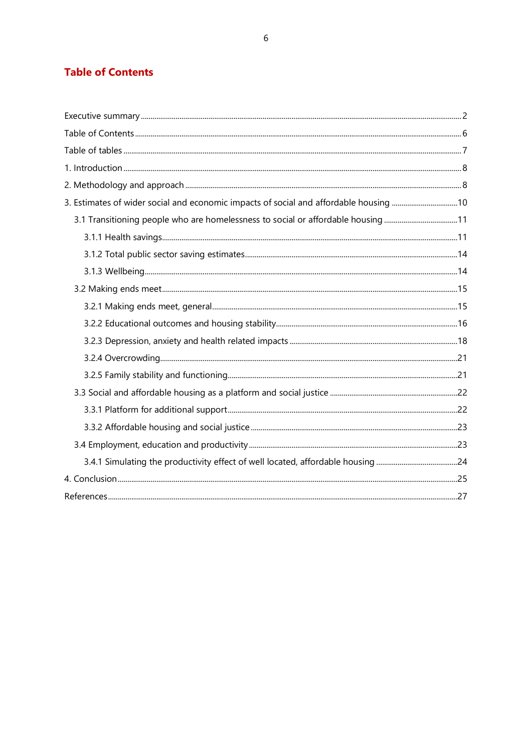# <span id="page-5-0"></span>**Table of Contents**

| 3. Estimates of wider social and economic impacts of social and affordable housing 10 |  |
|---------------------------------------------------------------------------------------|--|
| 3.1 Transitioning people who are homelessness to social or affordable housing11       |  |
|                                                                                       |  |
|                                                                                       |  |
|                                                                                       |  |
|                                                                                       |  |
|                                                                                       |  |
|                                                                                       |  |
|                                                                                       |  |
|                                                                                       |  |
|                                                                                       |  |
|                                                                                       |  |
|                                                                                       |  |
|                                                                                       |  |
|                                                                                       |  |
|                                                                                       |  |
|                                                                                       |  |
|                                                                                       |  |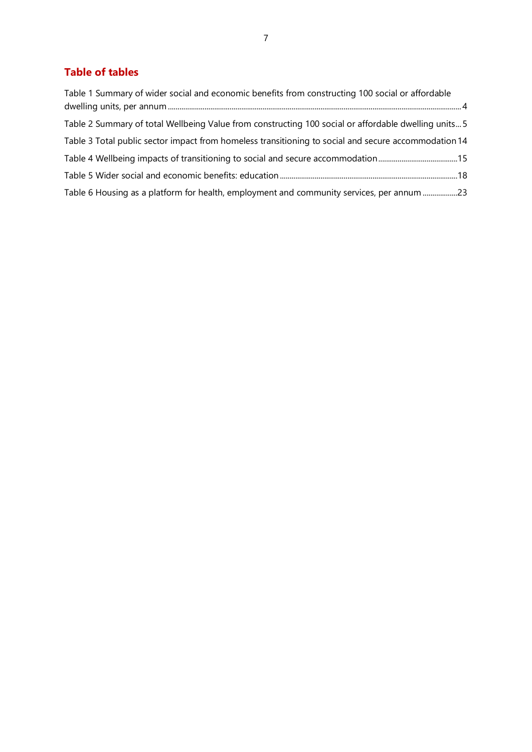# <span id="page-6-0"></span>**Table of tables**

| Table 1 Summary of wider social and economic benefits from constructing 100 social or affordable     |
|------------------------------------------------------------------------------------------------------|
| Table 2 Summary of total Wellbeing Value from constructing 100 social or affordable dwelling units 5 |
| Table 3 Total public sector impact from homeless transitioning to social and secure accommodation 14 |
|                                                                                                      |
|                                                                                                      |
| Table 6 Housing as a platform for health, employment and community services, per annum 23            |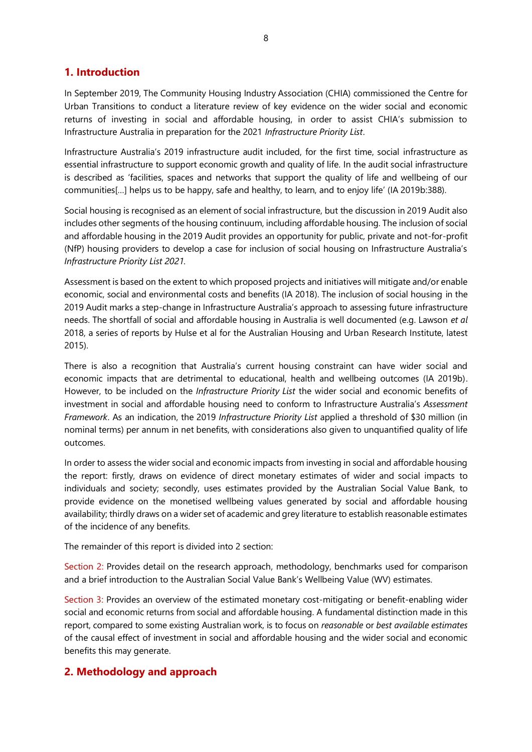# <span id="page-7-0"></span>**1. Introduction**

In September 2019, The Community Housing Industry Association (CHIA) commissioned the Centre for Urban Transitions to conduct a literature review of key evidence on the wider social and economic returns of investing in social and affordable housing, in order to assist CHIA's submission to Infrastructure Australia in preparation for the 2021 *Infrastructure Priority List*.

Infrastructure Australia's 2019 infrastructure audit included, for the first time, social infrastructure as essential infrastructure to support economic growth and quality of life. In the audit social infrastructure is described as 'facilities, spaces and networks that support the quality of life and wellbeing of our communities[…] helps us to be happy, safe and healthy, to learn, and to enjoy life' (IA 2019b:388).

Social housing is recognised as an element of social infrastructure, but the discussion in 2019 Audit also includes other segments of the housing continuum, including affordable housing. The inclusion of social and affordable housing in the 2019 Audit provides an opportunity for public, private and not-for-profit (NfP) housing providers to develop a case for inclusion of social housing on Infrastructure Australia's *Infrastructure Priority List 2021.*

Assessment is based on the extent to which proposed projects and initiatives will mitigate and/or enable economic, social and environmental costs and benefits (IA 2018). The inclusion of social housing in the 2019 Audit marks a step-change in Infrastructure Australia's approach to assessing future infrastructure needs. The shortfall of social and affordable housing in Australia is well documented (e.g. Lawson *et al*  2018, a series of reports by Hulse et al for the Australian Housing and Urban Research Institute, latest 2015).

There is also a recognition that Australia's current housing constraint can have wider social and economic impacts that are detrimental to educational, health and wellbeing outcomes (IA 2019b). However, to be included on the *Infrastructure Priority List* the wider social and economic benefits of investment in social and affordable housing need to conform to Infrastructure Australia's *Assessment Framework*. As an indication, the 2019 *Infrastructure Priority List* applied a threshold of \$30 million (in nominal terms) per annum in net benefits, with considerations also given to unquantified quality of life outcomes.

In order to assess the wider social and economic impacts from investing in social and affordable housing the report: firstly, draws on evidence of direct monetary estimates of wider and social impacts to individuals and society; secondly, uses estimates provided by the Australian Social Value Bank, to provide evidence on the monetised wellbeing values generated by social and affordable housing availability; thirdly draws on a wider set of academic and grey literature to establish reasonable estimates of the incidence of any benefits.

The remainder of this report is divided into 2 section:

Section 2: Provides detail on the research approach, methodology, benchmarks used for comparison and a brief introduction to the Australian Social Value Bank's Wellbeing Value (WV) estimates.

Section 3: Provides an overview of the estimated monetary cost-mitigating or benefit-enabling wider social and economic returns from social and affordable housing. A fundamental distinction made in this report, compared to some existing Australian work, is to focus on *reasonable* or *best available estimates* of the causal effect of investment in social and affordable housing and the wider social and economic benefits this may generate.

# <span id="page-7-1"></span>**2. Methodology and approach**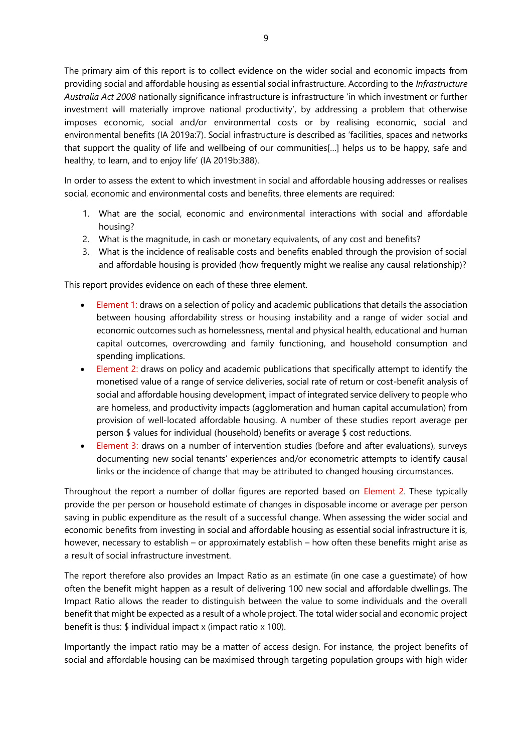The primary aim of this report is to collect evidence on the wider social and economic impacts from providing social and affordable housing as essential social infrastructure. According to the *Infrastructure Australia Act 2008* nationally significance infrastructure is infrastructure 'in which investment or further investment will materially improve national productivity', by addressing a problem that otherwise imposes economic, social and/or environmental costs or by realising economic, social and environmental benefits (IA 2019a:7). Social infrastructure is described as 'facilities, spaces and networks that support the quality of life and wellbeing of our communities[…] helps us to be happy, safe and healthy, to learn, and to enjoy life' (IA 2019b:388).

In order to assess the extent to which investment in social and affordable housing addresses or realises social, economic and environmental costs and benefits, three elements are required:

- 1. What are the social, economic and environmental interactions with social and affordable housing?
- 2. What is the magnitude, in cash or monetary equivalents, of any cost and benefits?
- 3. What is the incidence of realisable costs and benefits enabled through the provision of social and affordable housing is provided (how frequently might we realise any causal relationship)?

This report provides evidence on each of these three element.

- Element 1: draws on a selection of policy and academic publications that details the association between housing affordability stress or housing instability and a range of wider social and economic outcomes such as homelessness, mental and physical health, educational and human capital outcomes, overcrowding and family functioning, and household consumption and spending implications.
- Element 2: draws on policy and academic publications that specifically attempt to identify the monetised value of a range of service deliveries, social rate of return or cost-benefit analysis of social and affordable housing development, impact of integrated service delivery to people who are homeless, and productivity impacts (agglomeration and human capital accumulation) from provision of well-located affordable housing. A number of these studies report average per person \$ values for individual (household) benefits or average \$ cost reductions.
- Element 3: draws on a number of intervention studies (before and after evaluations), surveys documenting new social tenants' experiences and/or econometric attempts to identify causal links or the incidence of change that may be attributed to changed housing circumstances.

Throughout the report a number of dollar figures are reported based on Element 2. These typically provide the per person or household estimate of changes in disposable income or average per person saving in public expenditure as the result of a successful change. When assessing the wider social and economic benefits from investing in social and affordable housing as essential social infrastructure it is, however, necessary to establish – or approximately establish – how often these benefits might arise as a result of social infrastructure investment.

The report therefore also provides an Impact Ratio as an estimate (in one case a guestimate) of how often the benefit might happen as a result of delivering 100 new social and affordable dwellings. The Impact Ratio allows the reader to distinguish between the value to some individuals and the overall benefit that might be expected as a result of a whole project. The total wider social and economic project benefit is thus: \$ individual impact x (impact ratio x 100).

Importantly the impact ratio may be a matter of access design. For instance, the project benefits of social and affordable housing can be maximised through targeting population groups with high wider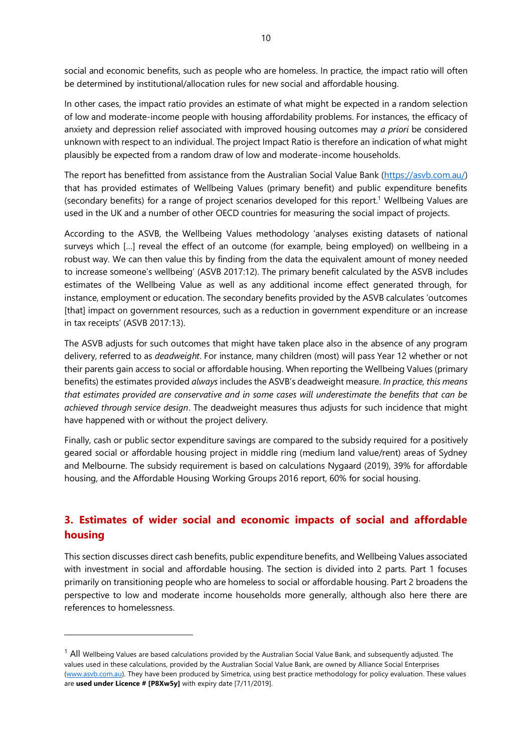social and economic benefits, such as people who are homeless. In practice, the impact ratio will often be determined by institutional/allocation rules for new social and affordable housing.

In other cases, the impact ratio provides an estimate of what might be expected in a random selection of low and moderate-income people with housing affordability problems. For instances, the efficacy of anxiety and depression relief associated with improved housing outcomes may *a priori* be considered unknown with respect to an individual. The project Impact Ratio is therefore an indication of what might plausibly be expected from a random draw of low and moderate-income households.

The report has benefitted from assistance from the Australian Social Value Bank [\(https://asvb.com.au/\)](https://asvb.com.au/) that has provided estimates of Wellbeing Values (primary benefit) and public expenditure benefits (secondary benefits) for a range of project scenarios developed for this report.<sup>1</sup> Wellbeing Values are used in the UK and a number of other OECD countries for measuring the social impact of projects.

According to the ASVB, the Wellbeing Values methodology 'analyses existing datasets of national surveys which […] reveal the effect of an outcome (for example, being employed) on wellbeing in a robust way. We can then value this by finding from the data the equivalent amount of money needed to increase someone's wellbeing' (ASVB 2017:12). The primary benefit calculated by the ASVB includes estimates of the Wellbeing Value as well as any additional income effect generated through, for instance, employment or education. The secondary benefits provided by the ASVB calculates 'outcomes [that] impact on government resources, such as a reduction in government expenditure or an increase in tax receipts' (ASVB 2017:13).

The ASVB adjusts for such outcomes that might have taken place also in the absence of any program delivery, referred to as *deadweight*. For instance, many children (most) will pass Year 12 whether or not their parents gain access to social or affordable housing. When reporting the Wellbeing Values (primary benefits) the estimates provided *always* includes the ASVB's deadweight measure. *In practice, this means that estimates provided are conservative and in some cases will underestimate the benefits that can be achieved through service design*. The deadweight measures thus adjusts for such incidence that might have happened with or without the project delivery.

Finally, cash or public sector expenditure savings are compared to the subsidy required for a positively geared social or affordable housing project in middle ring (medium land value/rent) areas of Sydney and Melbourne. The subsidy requirement is based on calculations Nygaard (2019), 39% for affordable housing, and the Affordable Housing Working Groups 2016 report, 60% for social housing.

# <span id="page-9-0"></span>**3. Estimates of wider social and economic impacts of social and affordable housing**

This section discusses direct cash benefits, public expenditure benefits, and Wellbeing Values associated with investment in social and affordable housing. The section is divided into 2 parts. Part 1 focuses primarily on transitioning people who are homeless to social or affordable housing. Part 2 broadens the perspective to low and moderate income households more generally, although also here there are references to homelessness.

 $1$  All Wellbeing Values are based calculations provided by the Australian Social Value Bank, and subsequently adjusted. The values used in these calculations, provided by the Australian Social Value Bank, are owned by Alliance Social Enterprises [\(www.asvb.com.au\)](http://www.asvb.com.au/). They have been produced by Simetrica, using best practice methodology for policy evaluation. These values are **used under Licence # [P8Xw5y]** with expiry date [7/11/2019].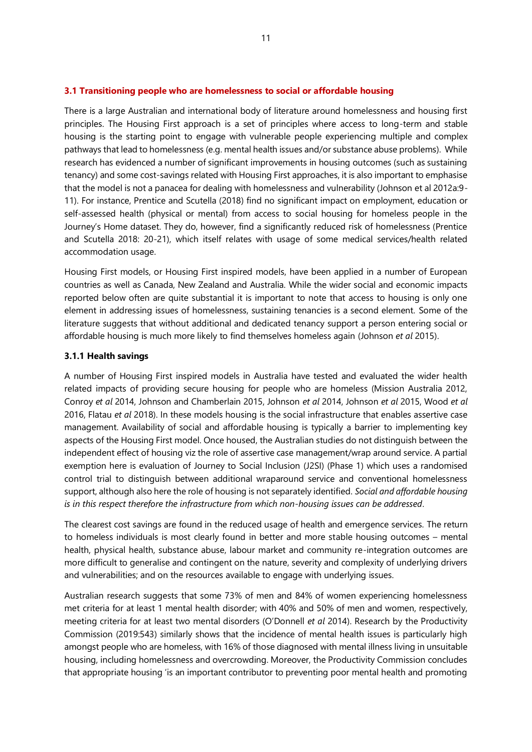<span id="page-10-0"></span>There is a large Australian and international body of literature around homelessness and housing first principles. The Housing First approach is a set of principles where access to long-term and stable housing is the starting point to engage with vulnerable people experiencing multiple and complex pathways that lead to homelessness (e.g. mental health issues and/or substance abuse problems). While research has evidenced a number of significant improvements in housing outcomes (such as sustaining tenancy) and some cost-savings related with Housing First approaches, it is also important to emphasise that the model is not a panacea for dealing with homelessness and vulnerability (Johnson et al 2012a:9- 11). For instance, Prentice and Scutella (2018) find no significant impact on employment, education or self-assessed health (physical or mental) from access to social housing for homeless people in the Journey's Home dataset. They do, however, find a significantly reduced risk of homelessness (Prentice and Scutella 2018: 20-21), which itself relates with usage of some medical services/health related accommodation usage.

Housing First models, or Housing First inspired models, have been applied in a number of European countries as well as Canada, New Zealand and Australia. While the wider social and economic impacts reported below often are quite substantial it is important to note that access to housing is only one element in addressing issues of homelessness, sustaining tenancies is a second element. Some of the literature suggests that without additional and dedicated tenancy support a person entering social or affordable housing is much more likely to find themselves homeless again (Johnson *et al* 2015).

#### <span id="page-10-1"></span>**3.1.1 Health savings**

A number of Housing First inspired models in Australia have tested and evaluated the wider health related impacts of providing secure housing for people who are homeless (Mission Australia 2012, Conroy *et al* 2014, Johnson and Chamberlain 2015, Johnson *et al* 2014, Johnson *et al* 2015, Wood *et al*  2016, Flatau *et al* 2018). In these models housing is the social infrastructure that enables assertive case management. Availability of social and affordable housing is typically a barrier to implementing key aspects of the Housing First model. Once housed, the Australian studies do not distinguish between the independent effect of housing viz the role of assertive case management/wrap around service. A partial exemption here is evaluation of Journey to Social Inclusion (J2SI) (Phase 1) which uses a randomised control trial to distinguish between additional wraparound service and conventional homelessness support, although also here the role of housing is not separately identified. *Social and affordable housing is in this respect therefore the infrastructure from which non-housing issues can be addressed*.

The clearest cost savings are found in the reduced usage of health and emergence services. The return to homeless individuals is most clearly found in better and more stable housing outcomes – mental health, physical health, substance abuse, labour market and community re-integration outcomes are more difficult to generalise and contingent on the nature, severity and complexity of underlying drivers and vulnerabilities; and on the resources available to engage with underlying issues.

Australian research suggests that some 73% of men and 84% of women experiencing homelessness met criteria for at least 1 mental health disorder; with 40% and 50% of men and women, respectively, meeting criteria for at least two mental disorders (O'Donnell *et al* 2014). Research by the Productivity Commission (2019:543) similarly shows that the incidence of mental health issues is particularly high amongst people who are homeless, with 16% of those diagnosed with mental illness living in unsuitable housing, including homelessness and overcrowding. Moreover, the Productivity Commission concludes that appropriate housing 'is an important contributor to preventing poor mental health and promoting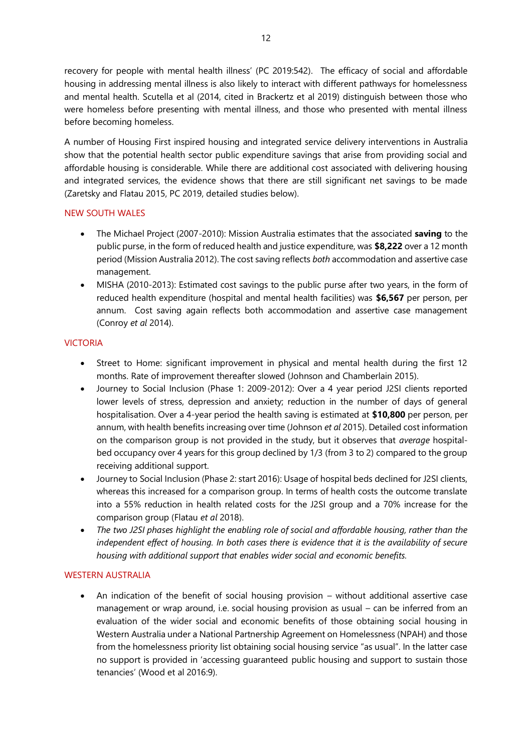recovery for people with mental health illness' (PC 2019:542). The efficacy of social and affordable housing in addressing mental illness is also likely to interact with different pathways for homelessness and mental health. Scutella et al (2014, cited in Brackertz et al 2019) distinguish between those who were homeless before presenting with mental illness, and those who presented with mental illness before becoming homeless.

A number of Housing First inspired housing and integrated service delivery interventions in Australia show that the potential health sector public expenditure savings that arise from providing social and affordable housing is considerable. While there are additional cost associated with delivering housing and integrated services, the evidence shows that there are still significant net savings to be made (Zaretsky and Flatau 2015, PC 2019, detailed studies below).

### NEW SOUTH WALES

- The Michael Project (2007-2010): Mission Australia estimates that the associated **saving** to the public purse, in the form of reduced health and justice expenditure, was **\$8,222** over a 12 month period (Mission Australia 2012). The cost saving reflects *both* accommodation and assertive case management.
- MISHA (2010-2013): Estimated cost savings to the public purse after two years, in the form of reduced health expenditure (hospital and mental health facilities) was **\$6,567** per person, per annum. Cost saving again reflects both accommodation and assertive case management (Conroy *et al* 2014).

### VICTORIA

- Street to Home: significant improvement in physical and mental health during the first 12 months. Rate of improvement thereafter slowed (Johnson and Chamberlain 2015).
- Journey to Social Inclusion (Phase 1: 2009-2012): Over a 4 year period J2SI clients reported lower levels of stress, depression and anxiety; reduction in the number of days of general hospitalisation. Over a 4-year period the health saving is estimated at **\$10,800** per person, per annum, with health benefits increasing over time (Johnson *et al* 2015). Detailed cost information on the comparison group is not provided in the study, but it observes that *average* hospitalbed occupancy over 4 years for this group declined by 1/3 (from 3 to 2) compared to the group receiving additional support.
- Journey to Social Inclusion (Phase 2: start 2016): Usage of hospital beds declined for J2SI clients, whereas this increased for a comparison group. In terms of health costs the outcome translate into a 55% reduction in health related costs for the J2SI group and a 70% increase for the comparison group (Flatau *et al* 2018).
- *The two J2SI phases highlight the enabling role of social and affordable housing, rather than the independent effect of housing. In both cases there is evidence that it is the availability of secure housing with additional support that enables wider social and economic benefits.*

#### WESTERN AUSTRALIA

• An indication of the benefit of social housing provision – without additional assertive case management or wrap around, i.e. social housing provision as usual – can be inferred from an evaluation of the wider social and economic benefits of those obtaining social housing in Western Australia under a National Partnership Agreement on Homelessness (NPAH) and those from the homelessness priority list obtaining social housing service "as usual". In the latter case no support is provided in 'accessing guaranteed public housing and support to sustain those tenancies' (Wood et al 2016:9).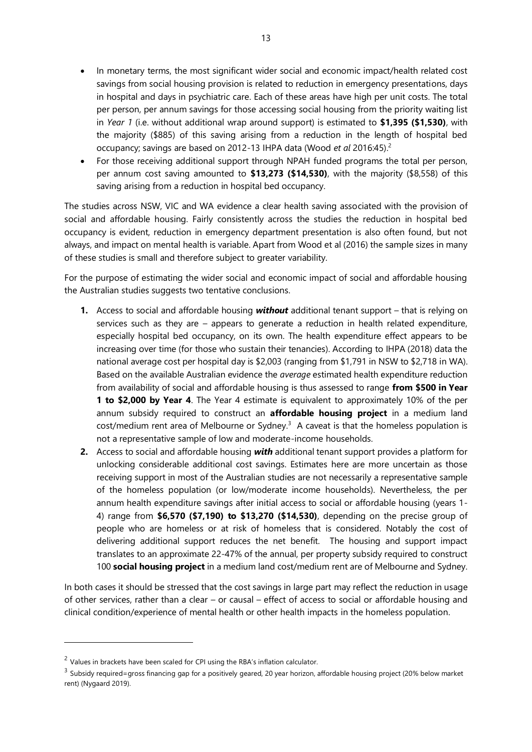- In monetary terms, the most significant wider social and economic impact/health related cost savings from social housing provision is related to reduction in emergency presentations, days in hospital and days in psychiatric care. Each of these areas have high per unit costs. The total per person, per annum savings for those accessing social housing from the priority waiting list in *Year 1* (i.e. without additional wrap around support) is estimated to **\$1,395 (\$1,530)**, with the majority (\$885) of this saving arising from a reduction in the length of hospital bed occupancy; savings are based on 2012-13 IHPA data (Wood *et al* 2016:45).<sup>2</sup>
- For those receiving additional support through NPAH funded programs the total per person, per annum cost saving amounted to **\$13,273 (\$14,530)**, with the majority (\$8,558) of this saving arising from a reduction in hospital bed occupancy.

The studies across NSW, VIC and WA evidence a clear health saving associated with the provision of social and affordable housing. Fairly consistently across the studies the reduction in hospital bed occupancy is evident, reduction in emergency department presentation is also often found, but not always, and impact on mental health is variable. Apart from Wood et al (2016) the sample sizes in many of these studies is small and therefore subject to greater variability.

For the purpose of estimating the wider social and economic impact of social and affordable housing the Australian studies suggests two tentative conclusions.

- **1.** Access to social and affordable housing *without* additional tenant support that is relying on services such as they are – appears to generate a reduction in health related expenditure, especially hospital bed occupancy, on its own. The health expenditure effect appears to be increasing over time (for those who sustain their tenancies). According to IHPA (2018) data the national average cost per hospital day is \$2,003 (ranging from \$1,791 in NSW to \$2,718 in WA). Based on the available Australian evidence the *average* estimated health expenditure reduction from availability of social and affordable housing is thus assessed to range **from \$500 in Year 1 to \$2,000 by Year 4**. The Year 4 estimate is equivalent to approximately 10% of the per annum subsidy required to construct an **affordable housing project** in a medium land  $cost/medium$  rent area of Melbourne or Sydney. $3$  A caveat is that the homeless population is not a representative sample of low and moderate-income households.
- **2.** Access to social and affordable housing *with* additional tenant support provides a platform for unlocking considerable additional cost savings. Estimates here are more uncertain as those receiving support in most of the Australian studies are not necessarily a representative sample of the homeless population (or low/moderate income households). Nevertheless, the per annum health expenditure savings after initial access to social or affordable housing (years 1- 4) range from **\$6,570 (\$7,190) to \$13,270 (\$14,530)**, depending on the precise group of people who are homeless or at risk of homeless that is considered. Notably the cost of delivering additional support reduces the net benefit. The housing and support impact translates to an approximate 22-47% of the annual, per property subsidy required to construct 100 **social housing project** in a medium land cost/medium rent are of Melbourne and Sydney.

In both cases it should be stressed that the cost savings in large part may reflect the reduction in usage of other services, rather than a clear – or causal – effect of access to social or affordable housing and clinical condition/experience of mental health or other health impacts in the homeless population.

 $2$  Values in brackets have been scaled for CPI using the RBA's inflation calculator.

<sup>&</sup>lt;sup>3</sup> Subsidy required=gross financing gap for a positively geared, 20 year horizon, affordable housing project (20% below market rent) (Nygaard 2019).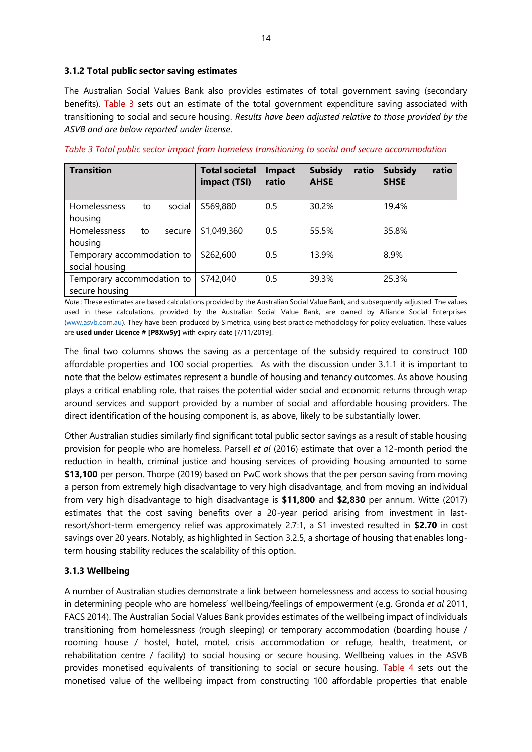#### <span id="page-13-0"></span>**3.1.2 Total public sector saving estimates**

The Australian Social Values Bank also provides estimates of total government saving (secondary benefits). [Table 3](#page-13-2) sets out an estimate of the total government expenditure saving associated with transitioning to social and secure housing. *Results have been adjusted relative to those provided by the ASVB and are below reported under license*.

| <b>Transition</b>                            |    |        | <b>Total societal</b><br>impact (TSI) | <b>Impact</b><br>ratio | <b>Subsidy</b><br>ratio<br><b>AHSE</b> | ratio<br><b>Subsidy</b><br><b>SHSE</b> |
|----------------------------------------------|----|--------|---------------------------------------|------------------------|----------------------------------------|----------------------------------------|
| Homelessness<br>housing                      | to | social | \$569,880                             | 0.5                    | 30.2%                                  | 19.4%                                  |
| Homelessness<br>housing                      | to | secure | \$1,049,360                           | 0.5                    | 55.5%                                  | 35.8%                                  |
| Temporary accommodation to<br>social housing |    |        | \$262,600                             | 0.5                    | 13.9%                                  | 8.9%                                   |
| Temporary accommodation to<br>secure housing |    |        | \$742,040                             | 0.5                    | 39.3%                                  | 25.3%                                  |

<span id="page-13-2"></span>*Table 3 Total public sector impact from homeless transitioning to social and secure accommodation*

*Note* : These estimates are based calculations provided by the Australian Social Value Bank, and subsequently adjusted. The values used in these calculations, provided by the Australian Social Value Bank, are owned by Alliance Social Enterprises [\(www.asvb.com.au\)](http://www.asvb.com.au/). They have been produced by Simetrica, using best practice methodology for policy evaluation. These values are **used under Licence # [P8Xw5y]** with expiry date [7/11/2019].

The final two columns shows the saving as a percentage of the subsidy required to construct 100 affordable properties and 100 social properties. As with the discussion under 3.1.1 it is important to note that the below estimates represent a bundle of housing and tenancy outcomes. As above housing plays a critical enabling role, that raises the potential wider social and economic returns through wrap around services and support provided by a number of social and affordable housing providers. The direct identification of the housing component is, as above, likely to be substantially lower.

Other Australian studies similarly find significant total public sector savings as a result of stable housing provision for people who are homeless. Parsell *et al* (2016) estimate that over a 12-month period the reduction in health, criminal justice and housing services of providing housing amounted to some **\$13,100** per person. Thorpe (2019) based on PwC work shows that the per person saving from moving a person from extremely high disadvantage to very high disadvantage, and from moving an individual from very high disadvantage to high disadvantage is **\$11,800** and **\$2,830** per annum. Witte (2017) estimates that the cost saving benefits over a 20-year period arising from investment in lastresort/short-term emergency relief was approximately 2.7:1, a \$1 invested resulted in **\$2.70** in cost savings over 20 years. Notably, as highlighted in Section 3.2.5, a shortage of housing that enables longterm housing stability reduces the scalability of this option.

# <span id="page-13-1"></span>**3.1.3 Wellbeing**

A number of Australian studies demonstrate a link between homelessness and access to social housing in determining people who are homeless' wellbeing/feelings of empowerment (e.g. Gronda *et al* 2011, FACS 2014). The Australian Social Values Bank provides estimates of the wellbeing impact of individuals transitioning from homelessness (rough sleeping) or temporary accommodation (boarding house / rooming house / hostel, hotel, motel, crisis accommodation or refuge, health, treatment, or rehabilitation centre / facility) to social housing or secure housing. Wellbeing values in the ASVB provides monetised equivalents of transitioning to social or secure housing. [Table 4](#page-14-2) sets out the monetised value of the wellbeing impact from constructing 100 affordable properties that enable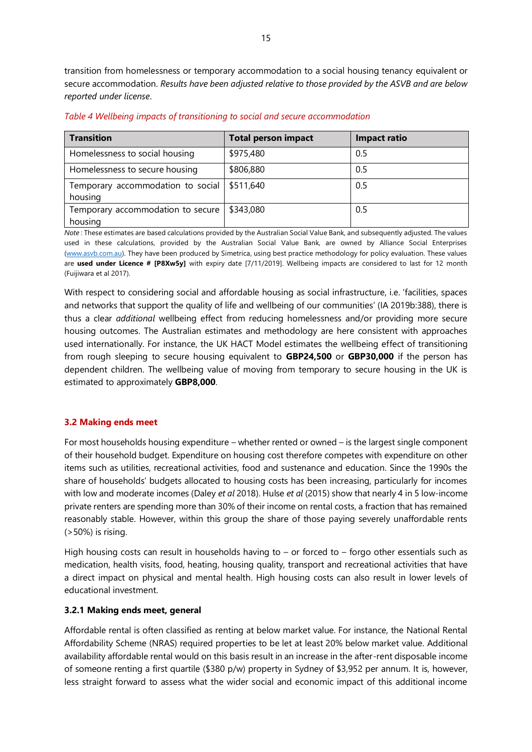transition from homelessness or temporary accommodation to a social housing tenancy equivalent or secure accommodation. *Results have been adjusted relative to those provided by the ASVB and are below reported under license*.

| \$975,480 | 0.5 |
|-----------|-----|
| \$806,880 | 0.5 |
| \$511,640 | 0.5 |
| \$343,080 | 0.5 |
|           |     |

<span id="page-14-2"></span>*Table 4 Wellbeing impacts of transitioning to social and secure accommodation*

*Note* : These estimates are based calculations provided by the Australian Social Value Bank, and subsequently adjusted. The values used in these calculations, provided by the Australian Social Value Bank, are owned by Alliance Social Enterprises [\(www.asvb.com.au\)](http://www.asvb.com.au/). They have been produced by Simetrica, using best practice methodology for policy evaluation. These values are **used under Licence # [P8Xw5y]** with expiry date [7/11/2019]. Wellbeing impacts are considered to last for 12 month (Fuijiwara et al 2017).

With respect to considering social and affordable housing as social infrastructure, i.e. 'facilities, spaces and networks that support the quality of life and wellbeing of our communities' (IA 2019b:388), there is thus a clear *additional* wellbeing effect from reducing homelessness and/or providing more secure housing outcomes. The Australian estimates and methodology are here consistent with approaches used internationally. For instance, the UK HACT Model estimates the wellbeing effect of transitioning from rough sleeping to secure housing equivalent to **GBP24,500** or **GBP30,000** if the person has dependent children. The wellbeing value of moving from temporary to secure housing in the UK is estimated to approximately **GBP8,000**.

# <span id="page-14-0"></span>**3.2 Making ends meet**

For most households housing expenditure – whether rented or owned – is the largest single component of their household budget. Expenditure on housing cost therefore competes with expenditure on other items such as utilities, recreational activities, food and sustenance and education. Since the 1990s the share of households' budgets allocated to housing costs has been increasing, particularly for incomes with low and moderate incomes (Daley *et al* 2018). Hulse *et al* (2015) show that nearly 4 in 5 low-income private renters are spending more than 30% of their income on rental costs, a fraction that has remained reasonably stable. However, within this group the share of those paying severely unaffordable rents (>50%) is rising.

High housing costs can result in households having to – or forced to – forgo other essentials such as medication, health visits, food, heating, housing quality, transport and recreational activities that have a direct impact on physical and mental health. High housing costs can also result in lower levels of educational investment.

# <span id="page-14-1"></span>**3.2.1 Making ends meet, general**

Affordable rental is often classified as renting at below market value. For instance, the National Rental Affordability Scheme (NRAS) required properties to be let at least 20% below market value. Additional availability affordable rental would on this basis result in an increase in the after-rent disposable income of someone renting a first quartile (\$380 p/w) property in Sydney of \$3,952 per annum. It is, however, less straight forward to assess what the wider social and economic impact of this additional income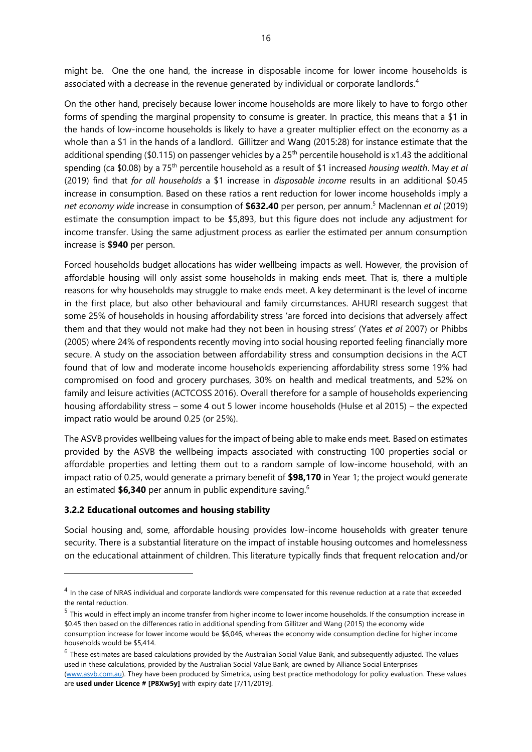might be. One the one hand, the increase in disposable income for lower income households is associated with a decrease in the revenue generated by individual or corporate landlords.<sup>4</sup>

On the other hand, precisely because lower income households are more likely to have to forgo other forms of spending the marginal propensity to consume is greater. In practice, this means that a \$1 in the hands of low-income households is likely to have a greater multiplier effect on the economy as a whole than a \$1 in the hands of a landlord. Gillitzer and Wang (2015:28) for instance estimate that the additional spending (\$0.115) on passenger vehicles by a  $25<sup>th</sup>$  percentile household is x1.43 the additional spending (ca \$0.08) by a 75th percentile household as a result of \$1 increased *housing wealth*. May *et al*  (2019) find that *for all households* a \$1 increase in *disposable income* results in an additional \$0.45 increase in consumption. Based on these ratios a rent reduction for lower income households imply a *net economy wide* increase in consumption of **\$632.40** per person, per annum. <sup>5</sup> Maclennan *et al* (2019) estimate the consumption impact to be \$5,893, but this figure does not include any adjustment for income transfer. Using the same adjustment process as earlier the estimated per annum consumption increase is **\$940** per person.

Forced households budget allocations has wider wellbeing impacts as well. However, the provision of affordable housing will only assist some households in making ends meet. That is, there a multiple reasons for why households may struggle to make ends meet. A key determinant is the level of income in the first place, but also other behavioural and family circumstances. AHURI research suggest that some 25% of households in housing affordability stress 'are forced into decisions that adversely affect them and that they would not make had they not been in housing stress' (Yates *et al* 2007) or Phibbs (2005) where 24% of respondents recently moving into social housing reported feeling financially more secure. A study on the association between affordability stress and consumption decisions in the ACT found that of low and moderate income households experiencing affordability stress some 19% had compromised on food and grocery purchases, 30% on health and medical treatments, and 52% on family and leisure activities (ACTCOSS 2016). Overall therefore for a sample of households experiencing housing affordability stress – some 4 out 5 lower income households (Hulse et al 2015) – the expected impact ratio would be around 0.25 (or 25%).

The ASVB provides wellbeing values for the impact of being able to make ends meet. Based on estimates provided by the ASVB the wellbeing impacts associated with constructing 100 properties social or affordable properties and letting them out to a random sample of low-income household, with an impact ratio of 0.25, would generate a primary benefit of **\$98,170** in Year 1; the project would generate an estimated **\$6,340** per annum in public expenditure saving.<sup>6</sup>

#### <span id="page-15-0"></span>**3.2.2 Educational outcomes and housing stability**

Social housing and, some, affordable housing provides low-income households with greater tenure security. There is a substantial literature on the impact of instable housing outcomes and homelessness on the educational attainment of children. This literature typically finds that frequent relocation and/or

<sup>&</sup>lt;sup>4</sup> In the case of NRAS individual and corporate landlords were compensated for this revenue reduction at a rate that exceeded the rental reduction.

<sup>&</sup>lt;sup>5</sup> This would in effect imply an income transfer from higher income to lower income households. If the consumption increase in \$0.45 then based on the differences ratio in additional spending from Gillitzer and Wang (2015) the economy wide consumption increase for lower income would be \$6,046, whereas the economy wide consumption decline for higher income households would be \$5,414.

 $<sup>6</sup>$  These estimates are based calculations provided by the Australian Social Value Bank, and subsequently adjusted. The values</sup> used in these calculations, provided by the Australian Social Value Bank, are owned by Alliance Social Enterprises [\(www.asvb.com.au\)](http://www.asvb.com.au/). They have been produced by Simetrica, using best practice methodology for policy evaluation. These values are **used under Licence # [P8Xw5y]** with expiry date [7/11/2019].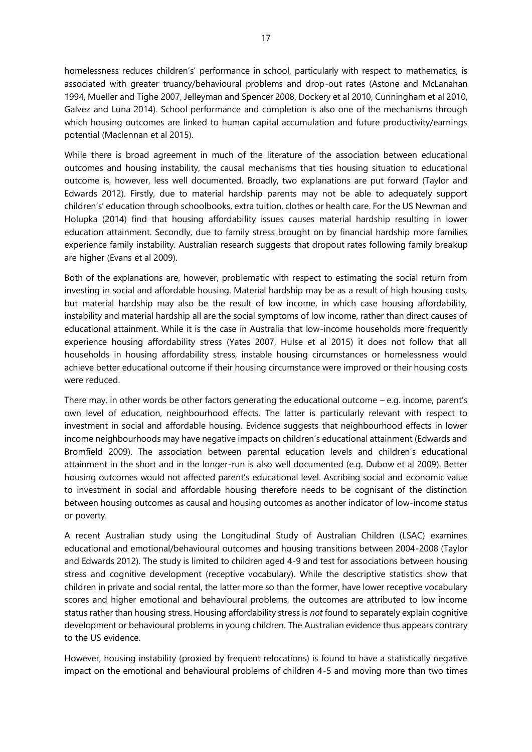homelessness reduces children's' performance in school, particularly with respect to mathematics, is associated with greater truancy/behavioural problems and drop-out rates (Astone and McLanahan 1994, Mueller and Tighe 2007, Jelleyman and Spencer 2008, Dockery et al 2010, Cunningham et al 2010, Galvez and Luna 2014). School performance and completion is also one of the mechanisms through which housing outcomes are linked to human capital accumulation and future productivity/earnings potential (Maclennan et al 2015).

While there is broad agreement in much of the literature of the association between educational outcomes and housing instability, the causal mechanisms that ties housing situation to educational outcome is, however, less well documented. Broadly, two explanations are put forward (Taylor and Edwards 2012). Firstly, due to material hardship parents may not be able to adequately support children's' education through schoolbooks, extra tuition, clothes or health care. For the US Newman and Holupka (2014) find that housing affordability issues causes material hardship resulting in lower education attainment. Secondly, due to family stress brought on by financial hardship more families experience family instability. Australian research suggests that dropout rates following family breakup are higher (Evans et al 2009).

Both of the explanations are, however, problematic with respect to estimating the social return from investing in social and affordable housing. Material hardship may be as a result of high housing costs, but material hardship may also be the result of low income, in which case housing affordability, instability and material hardship all are the social symptoms of low income, rather than direct causes of educational attainment. While it is the case in Australia that low-income households more frequently experience housing affordability stress (Yates 2007, Hulse et al 2015) it does not follow that all households in housing affordability stress, instable housing circumstances or homelessness would achieve better educational outcome if their housing circumstance were improved or their housing costs were reduced.

There may, in other words be other factors generating the educational outcome – e.g. income, parent's own level of education, neighbourhood effects. The latter is particularly relevant with respect to investment in social and affordable housing. Evidence suggests that neighbourhood effects in lower income neighbourhoods may have negative impacts on children's educational attainment (Edwards and Bromfield 2009). The association between parental education levels and children's educational attainment in the short and in the longer-run is also well documented (e.g. Dubow et al 2009). Better housing outcomes would not affected parent's educational level. Ascribing social and economic value to investment in social and affordable housing therefore needs to be cognisant of the distinction between housing outcomes as causal and housing outcomes as another indicator of low-income status or poverty.

A recent Australian study using the Longitudinal Study of Australian Children (LSAC) examines educational and emotional/behavioural outcomes and housing transitions between 2004-2008 (Taylor and Edwards 2012). The study is limited to children aged 4-9 and test for associations between housing stress and cognitive development (receptive vocabulary). While the descriptive statistics show that children in private and social rental, the latter more so than the former, have lower receptive vocabulary scores and higher emotional and behavioural problems, the outcomes are attributed to low income status rather than housing stress. Housing affordability stress is *not* found to separately explain cognitive development or behavioural problems in young children. The Australian evidence thus appears contrary to the US evidence.

However, housing instability (proxied by frequent relocations) is found to have a statistically negative impact on the emotional and behavioural problems of children 4-5 and moving more than two times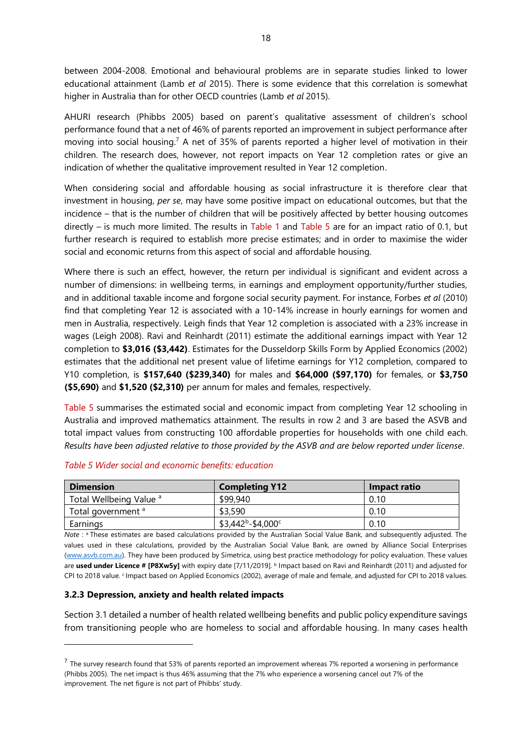between 2004-2008. Emotional and behavioural problems are in separate studies linked to lower educational attainment (Lamb *et al* 2015). There is some evidence that this correlation is somewhat higher in Australia than for other OECD countries (Lamb *et al* 2015).

AHURI research (Phibbs 2005) based on parent's qualitative assessment of children's school performance found that a net of 46% of parents reported an improvement in subject performance after moving into social housing.<sup>7</sup> A net of 35% of parents reported a higher level of motivation in their children. The research does, however, not report impacts on Year 12 completion rates or give an indication of whether the qualitative improvement resulted in Year 12 completion.

When considering social and affordable housing as social infrastructure it is therefore clear that investment in housing, *per se*, may have some positive impact on educational outcomes, but that the incidence – that is the number of children that will be positively affected by better housing outcomes directly – is much more limited. The results in [Table 1](#page-3-0) and [Table 5](#page-17-1) are for an impact ratio of 0.1, but further research is required to establish more precise estimates; and in order to maximise the wider social and economic returns from this aspect of social and affordable housing.

Where there is such an effect, however, the return per individual is significant and evident across a number of dimensions: in wellbeing terms, in earnings and employment opportunity/further studies, and in additional taxable income and forgone social security payment. For instance, Forbes *et al* (2010) find that completing Year 12 is associated with a 10-14% increase in hourly earnings for women and men in Australia, respectively. Leigh finds that Year 12 completion is associated with a 23% increase in wages (Leigh 2008). Ravi and Reinhardt (2011) estimate the additional earnings impact with Year 12 completion to **\$3,016 (\$3,442)**. Estimates for the Dusseldorp Skills Form by Applied Economics (2002) estimates that the additional net present value of lifetime earnings for Y12 completion, compared to Y10 completion, is **\$157,640 (\$239,340)** for males and **\$64,000 (\$97,170)** for females, or **\$3,750 (\$5,690)** and **\$1,520 (\$2,310)** per annum for males and females, respectively.

[Table 5](#page-17-1) summarises the estimated social and economic impact from completing Year 12 schooling in Australia and improved mathematics attainment. The results in row 2 and 3 are based the ASVB and total impact values from constructing 100 affordable properties for households with one child each. *Results have been adjusted relative to those provided by the ASVB and are below reported under license*.

| <b>Dimension</b>                   | <b>Completing Y12</b> | Impact ratio |
|------------------------------------|-----------------------|--------------|
| Total Wellbeing Value <sup>a</sup> | \$99,940              | 0.10         |
| Total government <sup>a</sup>      | \$3,590               | 0.10         |
| Earnings                           | $$3,442^b - $4,000^c$ | 0.10         |

#### <span id="page-17-1"></span>*Table 5 Wider social and economic benefits: education*

*Note* : a These estimates are based calculations provided by the Australian Social Value Bank, and subsequently adjusted. The values used in these calculations, provided by the Australian Social Value Bank, are owned by Alliance Social Enterprises [\(www.asvb.com.au\)](http://www.asvb.com.au/). They have been produced by Simetrica, using best practice methodology for policy evaluation. These values are used under Licence # [P8Xw5y] with expiry date [7/11/2019]. **b** Impact based on Ravi and Reinhardt (2011) and adjusted for CPI to 2018 value. *CImpact based on Applied Economics (2002)*, average of male and female, and adjusted for CPI to 2018 values.

#### <span id="page-17-0"></span>**3.2.3 Depression, anxiety and health related impacts**

Section 3.1 detailed a number of health related wellbeing benefits and public policy expenditure savings from transitioning people who are homeless to social and affordable housing. In many cases health

 $<sup>7</sup>$  The survey research found that 53% of parents reported an improvement whereas 7% reported a worsening in performance</sup> (Phibbs 2005). The net impact is thus 46% assuming that the 7% who experience a worsening cancel out 7% of the improvement. The net figure is not part of Phibbs' study.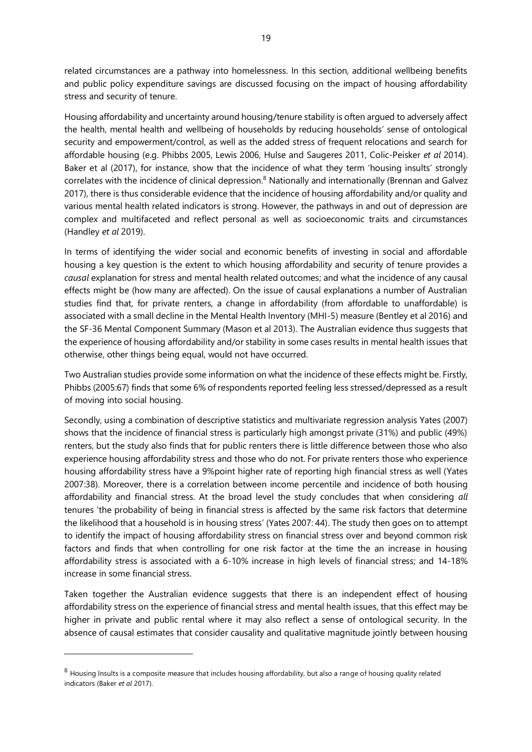related circumstances are a pathway into homelessness. In this section, additional wellbeing benefits and public policy expenditure savings are discussed focusing on the impact of housing affordability stress and security of tenure.

Housing affordability and uncertainty around housing/tenure stability is often argued to adversely affect the health, mental health and wellbeing of households by reducing households' sense of ontological security and empowerment/control, as well as the added stress of frequent relocations and search for affordable housing (e.g. Phibbs 2005, Lewis 2006, Hulse and Saugeres 2011, Colic-Peisker *et al* 2014). Baker et al (2017), for instance, show that the incidence of what they term 'housing insults' strongly correlates with the incidence of clinical depression.<sup>8</sup> Nationally and internationally (Brennan and Galvez 2017), there is thus considerable evidence that the incidence of housing affordability and/or quality and various mental health related indicators is strong. However, the pathways in and out of depression are complex and multifaceted and reflect personal as well as socioeconomic traits and circumstances (Handley *et al* 2019).

In terms of identifying the wider social and economic benefits of investing in social and affordable housing a key question is the extent to which housing affordability and security of tenure provides a *causal* explanation for stress and mental health related outcomes; and what the incidence of any causal effects might be (how many are affected). On the issue of causal explanations a number of Australian studies find that, for private renters, a change in affordability (from affordable to unaffordable) is associated with a small decline in the Mental Health Inventory (MHI-5) measure (Bentley et al 2016) and the SF-36 Mental Component Summary (Mason et al 2013). The Australian evidence thus suggests that the experience of housing affordability and/or stability in some cases results in mental health issues that otherwise, other things being equal, would not have occurred.

Two Australian studies provide some information on what the incidence of these effects might be. Firstly, Phibbs (2005:67) finds that some 6% of respondents reported feeling less stressed/depressed as a result of moving into social housing.

Secondly, using a combination of descriptive statistics and multivariate regression analysis Yates (2007) shows that the incidence of financial stress is particularly high amongst private (31%) and public (49%) renters, but the study also finds that for public renters there is little difference between those who also experience housing affordability stress and those who do not. For private renters those who experience housing affordability stress have a 9%point higher rate of reporting high financial stress as well (Yates 2007:38). Moreover, there is a correlation between income percentile and incidence of both housing affordability and financial stress. At the broad level the study concludes that when considering *all* tenures 'the probability of being in financial stress is affected by the same risk factors that determine the likelihood that a household is in housing stress' (Yates 2007: 44). The study then goes on to attempt to identify the impact of housing affordability stress on financial stress over and beyond common risk factors and finds that when controlling for one risk factor at the time the an increase in housing affordability stress is associated with a 6-10% increase in high levels of financial stress; and 14-18% increase in some financial stress.

Taken together the Australian evidence suggests that there is an independent effect of housing affordability stress on the experience of financial stress and mental health issues, that this effect may be higher in private and public rental where it may also reflect a sense of ontological security. In the absence of causal estimates that consider causality and qualitative magnitude jointly between housing

 $8$  Housing Insults is a composite measure that includes housing affordability, but also a range of housing quality related indicators (Baker *et al* 2017).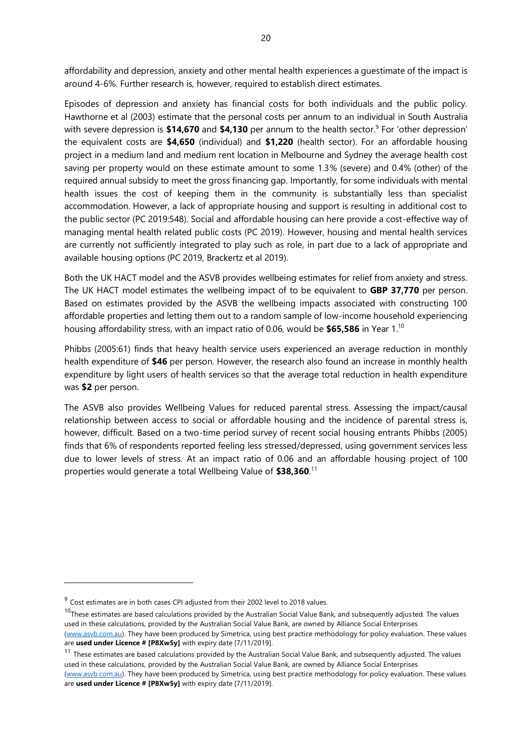affordability and depression, anxiety and other mental health experiences a guestimate of the impact is around 4-6%. Further research is, however, required to establish direct estimates.

Episodes of depression and anxiety has financial costs for both individuals and the public policy. Hawthorne et al (2003) estimate that the personal costs per annum to an individual in South Australia with severe depression is \$14,670 and \$4,130 per annum to the health sector.<sup>9</sup> For 'other depression' the equivalent costs are **\$4,650** (individual) and **\$1,220** (health sector). For an affordable housing project in a medium land and medium rent location in Melbourne and Sydney the average health cost saving per property would on these estimate amount to some 1.3% (severe) and 0.4% (other) of the required annual subsidy to meet the gross financing gap. Importantly, for some individuals with mental health issues the cost of keeping them in the community is substantially less than specialist accommodation. However, a lack of appropriate housing and support is resulting in additional cost to the public sector (PC 2019:548). Social and affordable housing can here provide a cost-effective way of managing mental health related public costs (PC 2019). However, housing and mental health services are currently not sufficiently integrated to play such as role, in part due to a lack of appropriate and available housing options (PC 2019, Brackertz et al 2019).

Both the UK HACT model and the ASVB provides wellbeing estimates for relief from anxiety and stress. The UK HACT model estimates the wellbeing impact of to be equivalent to **GBP 37,770** per person. Based on estimates provided by the ASVB the wellbeing impacts associated with constructing 100 affordable properties and letting them out to a random sample of low-income household experiencing housing affordability stress, with an impact ratio of 0.06, would be **\$65,586** in Year 1.<sup>10</sup>

Phibbs (2005:61) finds that heavy health service users experienced an average reduction in monthly health expenditure of **\$46** per person. However, the research also found an increase in monthly health expenditure by light users of health services so that the average total reduction in health expenditure was **\$2** per person.

The ASVB also provides Wellbeing Values for reduced parental stress. Assessing the impact/causal relationship between access to social or affordable housing and the incidence of parental stress is, however, difficult. Based on a two-time period survey of recent social housing entrants Phibbs (2005) finds that 6% of respondents reported feeling less stressed/depressed, using government services less due to lower levels of stress. At an impact ratio of 0.06 and an affordable housing project of 100 properties would generate a total Wellbeing Value of **\$38,360**. 11

are **used under Licence # [P8Xw5y]** with expiry date [7/11/2019].

 $11$  These estimates are based calculations provided by the Australian Social Value Bank, and subsequently adjusted. The values used in these calculations, provided by the Australian Social Value Bank, are owned by Alliance Social Enterprises [\(www.asvb.com.au\)](http://www.asvb.com.au/). They have been produced by Simetrica, using best practice methodology for policy evaluation. These values

 $9^{9}$  Cost estimates are in both cases CPI adjusted from their 2002 level to 2018 values.

 $10$ These estimates are based calculations provided by the Australian Social Value Bank, and subsequently adjusted. The values used in these calculations, provided by the Australian Social Value Bank, are owned by Alliance Social Enterprises [\(www.asvb.com.au\)](http://www.asvb.com.au/). They have been produced by Simetrica, using best practice methodology for policy evaluation. These values are **used under Licence # [P8Xw5y]** with expiry date [7/11/2019].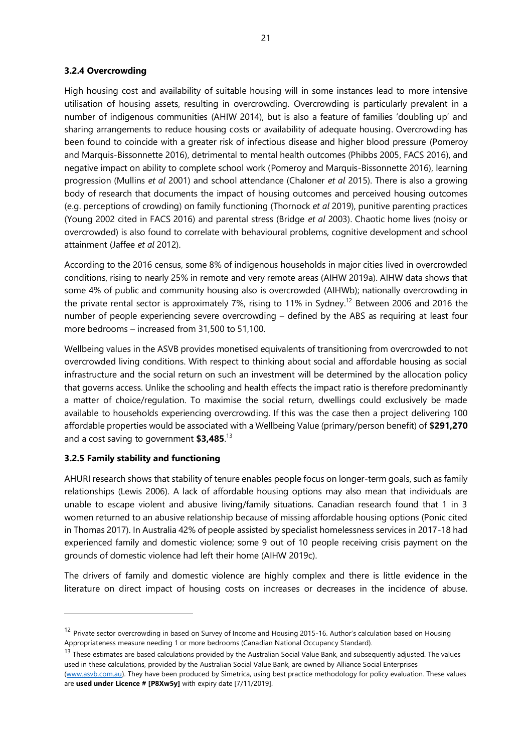#### <span id="page-20-0"></span>**3.2.4 Overcrowding**

High housing cost and availability of suitable housing will in some instances lead to more intensive utilisation of housing assets, resulting in overcrowding. Overcrowding is particularly prevalent in a number of indigenous communities (AHIW 2014), but is also a feature of families 'doubling up' and sharing arrangements to reduce housing costs or availability of adequate housing. Overcrowding has been found to coincide with a greater risk of infectious disease and higher blood pressure (Pomeroy and Marquis-Bissonnette 2016), detrimental to mental health outcomes (Phibbs 2005, FACS 2016), and negative impact on ability to complete school work (Pomeroy and Marquis-Bissonnette 2016), learning progression (Mullins *et al* 2001) and school attendance (Chaloner *et al* 2015). There is also a growing body of research that documents the impact of housing outcomes and perceived housing outcomes (e.g. perceptions of crowding) on family functioning (Thornock *et al* 2019), punitive parenting practices (Young 2002 cited in FACS 2016) and parental stress (Bridge *et al* 2003). Chaotic home lives (noisy or overcrowded) is also found to correlate with behavioural problems, cognitive development and school attainment (Jaffee *et al* 2012).

According to the 2016 census, some 8% of indigenous households in major cities lived in overcrowded conditions, rising to nearly 25% in remote and very remote areas (AIHW 2019a). AIHW data shows that some 4% of public and community housing also is overcrowded (AIHWb); nationally overcrowding in the private rental sector is approximately 7%, rising to 11% in Sydney.<sup>12</sup> Between 2006 and 2016 the number of people experiencing severe overcrowding – defined by the ABS as requiring at least four more bedrooms – increased from 31,500 to 51,100.

Wellbeing values in the ASVB provides monetised equivalents of transitioning from overcrowded to not overcrowded living conditions. With respect to thinking about social and affordable housing as social infrastructure and the social return on such an investment will be determined by the allocation policy that governs access. Unlike the schooling and health effects the impact ratio is therefore predominantly a matter of choice/regulation. To maximise the social return, dwellings could exclusively be made available to households experiencing overcrowding. If this was the case then a project delivering 100 affordable properties would be associated with a Wellbeing Value (primary/person benefit) of **\$291,270** and a cost saving to government **\$3,485**. 13

#### <span id="page-20-1"></span>**3.2.5 Family stability and functioning**

AHURI research shows that stability of tenure enables people focus on longer-term goals, such as family relationships (Lewis 2006). A lack of affordable housing options may also mean that individuals are unable to escape violent and abusive living/family situations. Canadian research found that 1 in 3 women returned to an abusive relationship because of missing affordable housing options (Ponic cited in Thomas 2017). In Australia 42% of people assisted by specialist homelessness services in 2017-18 had experienced family and domestic violence; some 9 out of 10 people receiving crisis payment on the grounds of domestic violence had left their home (AIHW 2019c).

The drivers of family and domestic violence are highly complex and there is little evidence in the literature on direct impact of housing costs on increases or decreases in the incidence of abuse.

<sup>&</sup>lt;sup>12</sup> Private sector overcrowding in based on Survey of Income and Housing 2015-16. Author's calculation based on Housing Appropriateness measure needing 1 or more bedrooms (Canadian National Occupancy Standard).

<sup>&</sup>lt;sup>13</sup> These estimates are based calculations provided by the Australian Social Value Bank, and subsequently adjusted. The values used in these calculations, provided by the Australian Social Value Bank, are owned by Alliance Social Enterprises

[<sup>\(</sup>www.asvb.com.au\)](http://www.asvb.com.au/). They have been produced by Simetrica, using best practice methodology for policy evaluation. These values are **used under Licence # [P8Xw5y]** with expiry date [7/11/2019].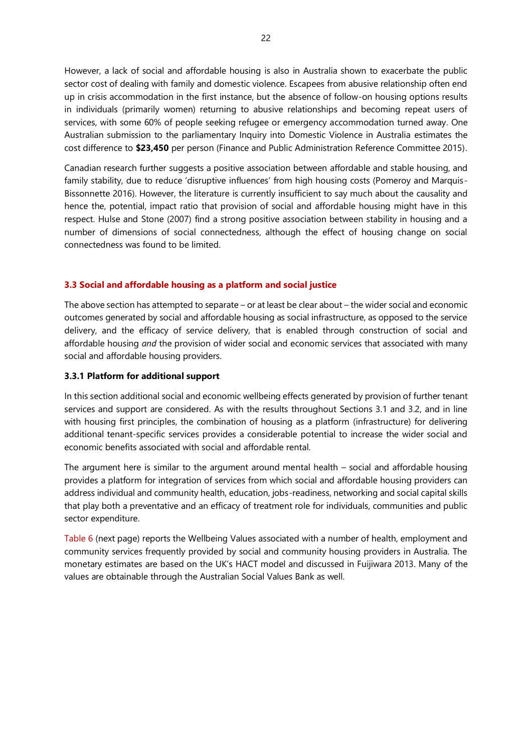However, a lack of social and affordable housing is also in Australia shown to exacerbate the public sector cost of dealing with family and domestic violence. Escapees from abusive relationship often end up in crisis accommodation in the first instance, but the absence of follow-on housing options results in individuals (primarily women) returning to abusive relationships and becoming repeat users of services, with some 60% of people seeking refugee or emergency accommodation turned away. One Australian submission to the parliamentary Inquiry into Domestic Violence in Australia estimates the cost difference to **\$23,450** per person (Finance and Public Administration Reference Committee 2015).

Canadian research further suggests a positive association between affordable and stable housing, and family stability, due to reduce 'disruptive influences' from high housing costs (Pomeroy and Marquis-Bissonnette 2016). However, the literature is currently insufficient to say much about the causality and hence the, potential, impact ratio that provision of social and affordable housing might have in this respect. Hulse and Stone (2007) find a strong positive association between stability in housing and a number of dimensions of social connectedness, although the effect of housing change on social connectedness was found to be limited.

#### <span id="page-21-0"></span>**3.3 Social and affordable housing as a platform and social justice**

The above section has attempted to separate – or at least be clear about – the wider social and economic outcomes generated by social and affordable housing as social infrastructure, as opposed to the service delivery, and the efficacy of service delivery, that is enabled through construction of social and affordable housing *and* the provision of wider social and economic services that associated with many social and affordable housing providers.

#### <span id="page-21-1"></span>**3.3.1 Platform for additional support**

In this section additional social and economic wellbeing effects generated by provision of further tenant services and support are considered. As with the results throughout Sections 3.1 and 3.2, and in line with housing first principles, the combination of housing as a platform (infrastructure) for delivering additional tenant-specific services provides a considerable potential to increase the wider social and economic benefits associated with social and affordable rental.

The argument here is similar to the argument around mental health – social and affordable housing provides a platform for integration of services from which social and affordable housing providers can address individual and community health, education, jobs-readiness, networking and social capital skills that play both a preventative and an efficacy of treatment role for individuals, communities and public sector expenditure.

[Table 6](#page-22-2) (next page) reports the Wellbeing Values associated with a number of health, employment and community services frequently provided by social and community housing providers in Australia. The monetary estimates are based on the UK's HACT model and discussed in Fuijiwara 2013. Many of the values are obtainable through the Australian Social Values Bank as well.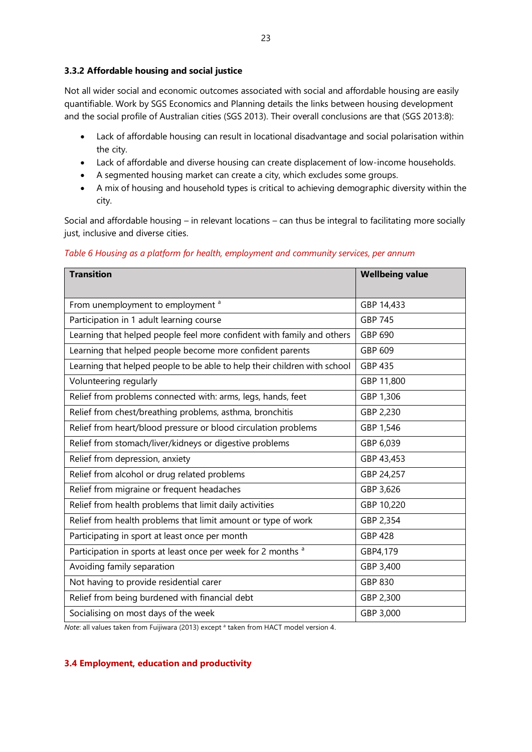#### <span id="page-22-0"></span>**3.3.2 Affordable housing and social justice**

Not all wider social and economic outcomes associated with social and affordable housing are easily quantifiable. Work by SGS Economics and Planning details the links between housing development and the social profile of Australian cities (SGS 2013). Their overall conclusions are that (SGS 2013:8):

- Lack of affordable housing can result in locational disadvantage and social polarisation within the city.
- Lack of affordable and diverse housing can create displacement of low-income households.
- A segmented housing market can create a city, which excludes some groups.
- A mix of housing and household types is critical to achieving demographic diversity within the city.

Social and affordable housing – in relevant locations – can thus be integral to facilitating more socially just, inclusive and diverse cities.

#### <span id="page-22-2"></span>*Table 6 Housing as a platform for health, employment and community services, per annum*

| <b>Transition</b>                                                         | <b>Wellbeing value</b> |
|---------------------------------------------------------------------------|------------------------|
| From unemployment to employment <sup>a</sup>                              | GBP 14,433             |
| Participation in 1 adult learning course                                  | <b>GBP 745</b>         |
| Learning that helped people feel more confident with family and others    | GBP 690                |
| Learning that helped people become more confident parents                 | GBP 609                |
| Learning that helped people to be able to help their children with school | GBP 435                |
| Volunteering regularly                                                    | GBP 11,800             |
| Relief from problems connected with: arms, legs, hands, feet              | GBP 1,306              |
| Relief from chest/breathing problems, asthma, bronchitis                  | GBP 2,230              |
| Relief from heart/blood pressure or blood circulation problems            | GBP 1,546              |
| Relief from stomach/liver/kidneys or digestive problems                   | GBP 6,039              |
| Relief from depression, anxiety                                           | GBP 43,453             |
| Relief from alcohol or drug related problems                              | GBP 24,257             |
| Relief from migraine or frequent headaches                                | GBP 3,626              |
| Relief from health problems that limit daily activities                   | GBP 10,220             |
| Relief from health problems that limit amount or type of work             | GBP 2,354              |
| Participating in sport at least once per month                            | <b>GBP 428</b>         |
| Participation in sports at least once per week for 2 months <sup>a</sup>  | GBP4,179               |
| Avoiding family separation                                                | GBP 3,400              |
| Not having to provide residential carer                                   | GBP 830                |
| Relief from being burdened with financial debt                            | GBP 2,300              |
| Socialising on most days of the week                                      | GBP 3,000              |

*Note*: all values taken from Fuijiwara (2013) except <sup>a</sup> taken from HACT model version 4.

#### <span id="page-22-1"></span>**3.4 Employment, education and productivity**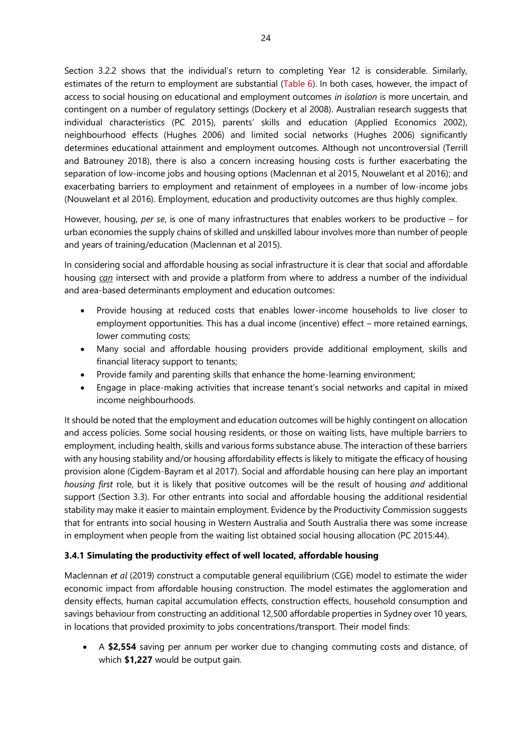Section 3.2.2 shows that the individual's return to completing Year 12 is considerable. Similarly, estimates of the return to employment are substantial [\(Table 6\)](#page-22-2). In both cases, however, the impact of access to social housing on educational and employment outcomes *in isolation* is more uncertain, and contingent on a number of regulatory settings (Dockery et al 2008). Australian research suggests that individual characteristics (PC 2015), parents' skills and education (Applied Economics 2002), neighbourhood effects (Hughes 2006) and limited social networks (Hughes 2006) significantly determines educational attainment and employment outcomes. Although not uncontroversial (Terrill and Batrouney 2018), there is also a concern increasing housing costs is further exacerbating the separation of low-income jobs and housing options (Maclennan et al 2015, Nouwelant et al 2016); and exacerbating barriers to employment and retainment of employees in a number of low-income jobs (Nouwelant et al 2016). Employment, education and productivity outcomes are thus highly complex.

However, housing, *per se*, is one of many infrastructures that enables workers to be productive – for urban economies the supply chains of skilled and unskilled labour involves more than number of people and years of training/education (Maclennan et al 2015).

In considering social and affordable housing as social infrastructure it is clear that social and affordable housing *can* intersect with and provide a platform from where to address a number of the individual and area-based determinants employment and education outcomes:

- Provide housing at reduced costs that enables lower-income households to live closer to employment opportunities. This has a dual income (incentive) effect – more retained earnings, lower commuting costs;
- Many social and affordable housing providers provide additional employment, skills and financial literacy support to tenants;
- Provide family and parenting skills that enhance the home-learning environment;
- Engage in place-making activities that increase tenant's social networks and capital in mixed income neighbourhoods.

It should be noted that the employment and education outcomes will be highly contingent on allocation and access policies. Some social housing residents, or those on waiting lists, have multiple barriers to employment, including health, skills and various forms substance abuse. The interaction of these barriers with any housing stability and/or housing affordability effects is likely to mitigate the efficacy of housing provision alone (Cigdem-Bayram et al 2017). Social and affordable housing can here play an important *housing first* role, but it is likely that positive outcomes will be the result of housing *and* additional support (Section 3.3). For other entrants into social and affordable housing the additional residential stability may make it easier to maintain employment. Evidence by the Productivity Commission suggests that for entrants into social housing in Western Australia and South Australia there was some increase in employment when people from the waiting list obtained social housing allocation (PC 2015:44).

# <span id="page-23-0"></span>**3.4.1 Simulating the productivity effect of well located, affordable housing**

Maclennan *et al* (2019) construct a computable general equilibrium (CGE) model to estimate the wider economic impact from affordable housing construction. The model estimates the agglomeration and density effects, human capital accumulation effects, construction effects, household consumption and savings behaviour from constructing an additional 12,500 affordable properties in Sydney over 10 years, in locations that provided proximity to jobs concentrations/transport. Their model finds:

• A **\$2,554** saving per annum per worker due to changing commuting costs and distance, of which **\$1,227** would be output gain.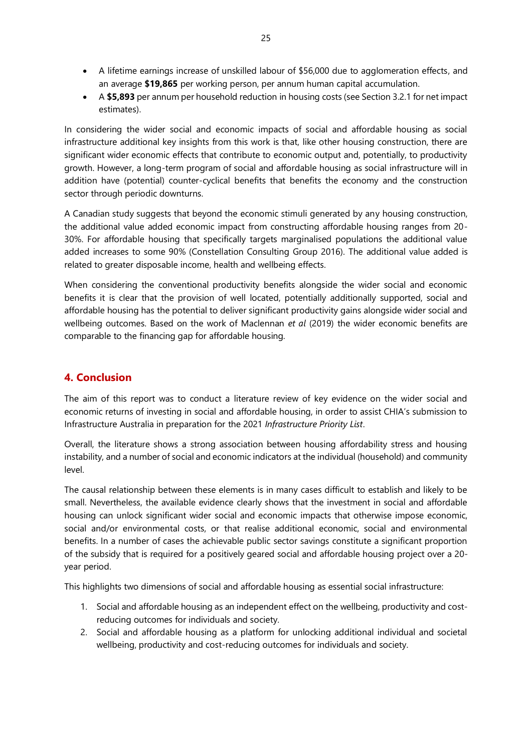- A lifetime earnings increase of unskilled labour of \$56,000 due to agglomeration effects, and an average **\$19,865** per working person, per annum human capital accumulation.
- A **\$5,893** per annum per household reduction in housing costs (see Section 3.2.1 for net impact estimates).

In considering the wider social and economic impacts of social and affordable housing as social infrastructure additional key insights from this work is that, like other housing construction, there are significant wider economic effects that contribute to economic output and, potentially, to productivity growth. However, a long-term program of social and affordable housing as social infrastructure will in addition have (potential) counter-cyclical benefits that benefits the economy and the construction sector through periodic downturns.

A Canadian study suggests that beyond the economic stimuli generated by any housing construction, the additional value added economic impact from constructing affordable housing ranges from 20- 30%. For affordable housing that specifically targets marginalised populations the additional value added increases to some 90% (Constellation Consulting Group 2016). The additional value added is related to greater disposable income, health and wellbeing effects.

When considering the conventional productivity benefits alongside the wider social and economic benefits it is clear that the provision of well located, potentially additionally supported, social and affordable housing has the potential to deliver significant productivity gains alongside wider social and wellbeing outcomes. Based on the work of Maclennan *et al* (2019) the wider economic benefits are comparable to the financing gap for affordable housing.

# <span id="page-24-0"></span>**4. Conclusion**

The aim of this report was to conduct a literature review of key evidence on the wider social and economic returns of investing in social and affordable housing, in order to assist CHIA's submission to Infrastructure Australia in preparation for the 2021 *Infrastructure Priority List*.

Overall, the literature shows a strong association between housing affordability stress and housing instability, and a number of social and economic indicators at the individual (household) and community level.

The causal relationship between these elements is in many cases difficult to establish and likely to be small. Nevertheless, the available evidence clearly shows that the investment in social and affordable housing can unlock significant wider social and economic impacts that otherwise impose economic, social and/or environmental costs, or that realise additional economic, social and environmental benefits. In a number of cases the achievable public sector savings constitute a significant proportion of the subsidy that is required for a positively geared social and affordable housing project over a 20 year period.

This highlights two dimensions of social and affordable housing as essential social infrastructure:

- 1. Social and affordable housing as an independent effect on the wellbeing, productivity and costreducing outcomes for individuals and society.
- 2. Social and affordable housing as a platform for unlocking additional individual and societal wellbeing, productivity and cost-reducing outcomes for individuals and society.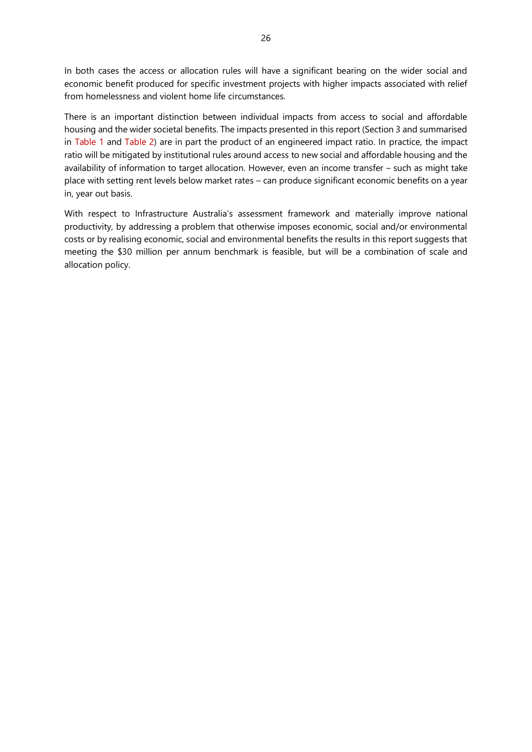In both cases the access or allocation rules will have a significant bearing on the wider social and economic benefit produced for specific investment projects with higher impacts associated with relief from homelessness and violent home life circumstances.

There is an important distinction between individual impacts from access to social and affordable housing and the wider societal benefits. The impacts presented in this report (Section 3 and summarised in [Table 1](#page-3-0) and [Table 2\)](#page-4-0) are in part the product of an engineered impact ratio. In practice, the impact ratio will be mitigated by institutional rules around access to new social and affordable housing and the availability of information to target allocation. However, even an income transfer – such as might take place with setting rent levels below market rates – can produce significant economic benefits on a year in, year out basis.

With respect to Infrastructure Australia's assessment framework and materially improve national productivity, by addressing a problem that otherwise imposes economic, social and/or environmental costs or by realising economic, social and environmental benefits the results in this report suggests that meeting the \$30 million per annum benchmark is feasible, but will be a combination of scale and allocation policy.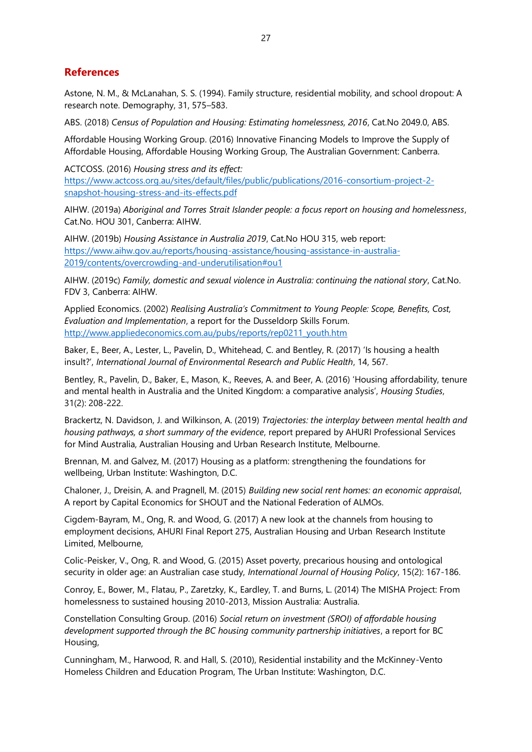# <span id="page-26-0"></span>**References**

Astone, N. M., & McLanahan, S. S. (1994). Family structure, residential mobility, and school dropout: A research note. Demography, 31, 575–583.

ABS. (2018) *Census of Population and Housing: Estimating homelessness, 2016*, Cat.No 2049.0, ABS.

Affordable Housing Working Group. (2016) Innovative Financing Models to Improve the Supply of Affordable Housing, Affordable Housing Working Group, The Australian Government: Canberra.

ACTCOSS. (2016) *Housing stress and its effect:* [https://www.actcoss.org.au/sites/default/files/public/publications/2016-consortium-project-2](https://www.actcoss.org.au/sites/default/files/public/publications/2016-consortium-project-2-snapshot-housing-stress-and-its-effects.pdf) [snapshot-housing-stress-and-its-effects.pdf](https://www.actcoss.org.au/sites/default/files/public/publications/2016-consortium-project-2-snapshot-housing-stress-and-its-effects.pdf)

AIHW. (2019a) *Aboriginal and Torres Strait Islander people: a focus report on housing and homelessness*, Cat.No. HOU 301, Canberra: AIHW.

AIHW. (2019b) *Housing Assistance in Australia 2019*, Cat.No HOU 315, web report: [https://www.aihw.gov.au/reports/housing-assistance/housing-assistance-in-australia-](https://www.aihw.gov.au/reports/housing-assistance/housing-assistance-in-australia-2019/contents/overcrowding-and-underutilisation#ou1)[2019/contents/overcrowding-and-underutilisation#ou1](https://www.aihw.gov.au/reports/housing-assistance/housing-assistance-in-australia-2019/contents/overcrowding-and-underutilisation#ou1)

AIHW. (2019c) *Family, domestic and sexual violence in Australia: continuing the national story*, Cat.No. FDV 3, Canberra: AIHW.

Applied Economics. (2002) *Realising Australia's Commitment to Young People: Scope, Benefits, Cost, Evaluation and Implementation*, a report for the Dusseldorp Skills Forum. [http://www.appliedeconomics.com.au/pubs/reports/rep0211\\_youth.htm](http://www.appliedeconomics.com.au/pubs/reports/rep0211_youth.htm)

Baker, E., Beer, A., Lester, L., Pavelin, D., Whitehead, C. and Bentley, R. (2017) 'Is housing a health insult?', *International Journal of Environmental Research and Public Health*, 14, 567.

Bentley, R., Pavelin, D., Baker, E., Mason, K., Reeves, A. and Beer, A. (2016) 'Housing affordability, tenure and mental health in Australia and the United Kingdom: a comparative analysis', *Housing Studies*, 31(2): 208-222.

Brackertz, N. Davidson, J. and Wilkinson, A. (2019) *Trajectories: the interplay between mental health and housing pathways, a short summary of the evidence*, report prepared by AHURI Professional Services for Mind Australia, Australian Housing and Urban Research Institute, Melbourne.

Brennan, M. and Galvez, M. (2017) Housing as a platform: strengthening the foundations for wellbeing, Urban Institute: Washington, D.C.

Chaloner, J., Dreisin, A. and Pragnell, M. (2015) *Building new social rent homes: an economic appraisal*, A report by Capital Economics for SHOUT and the National Federation of ALMOs.

Cigdem-Bayram, M., Ong, R. and Wood, G. (2017) A new look at the channels from housing to employment decisions, AHURI Final Report 275, Australian Housing and Urban Research Institute Limited, Melbourne,

Colic-Peisker, V., Ong, R. and Wood, G. (2015) Asset poverty, precarious housing and ontological security in older age: an Australian case study, *International Journal of Housing Policy*, 15(2): 167-186.

Conroy, E., Bower, M., Flatau, P., Zaretzky, K., Eardley, T. and Burns, L. (2014) The MISHA Project: From homelessness to sustained housing 2010-2013, Mission Australia: Australia.

Constellation Consulting Group. (2016) *Social return on investment (SROI) of affordable housing development supported through the BC housing community partnership initiatives*, a report for BC Housing,

Cunningham, M., Harwood, R. and Hall, S. (2010), Residential instability and the McKinney-Vento Homeless Children and Education Program, The Urban Institute: Washington, D.C.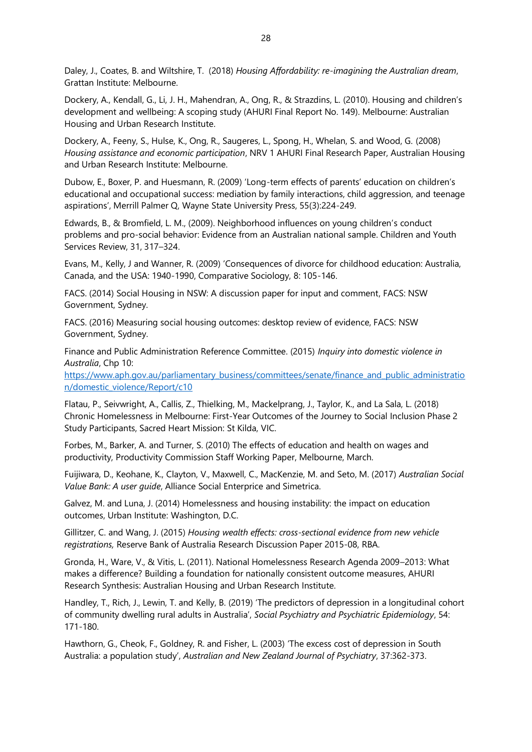Daley, J., Coates, B. and Wiltshire, T. (2018) *Housing Affordability: re-imagining the Australian dream*, Grattan Institute: Melbourne.

Dockery, A., Kendall, G., Li, J. H., Mahendran, A., Ong, R., & Strazdins, L. (2010). Housing and children's development and wellbeing: A scoping study (AHURI Final Report No. 149). Melbourne: Australian Housing and Urban Research Institute.

Dockery, A., Feeny, S., Hulse, K., Ong, R., Saugeres, L., Spong, H., Whelan, S. and Wood, G. (2008) *Housing assistance and economic participation*, NRV 1 AHURI Final Research Paper, Australian Housing and Urban Research Institute: Melbourne.

Dubow, E., Boxer, P. and Huesmann, R. (2009) 'Long-term effects of parents' education on children's educational and occupational success: mediation by family interactions, child aggression, and teenage aspirations', Merrill Palmer Q, Wayne State University Press, 55(3):224-249.

Edwards, B., & Bromfield, L. M., (2009). Neighborhood influences on young children's conduct problems and pro-social behavior: Evidence from an Australian national sample. Children and Youth Services Review, 31, 317–324.

Evans, M., Kelly, J and Wanner, R. (2009) 'Consequences of divorce for childhood education: Australia, Canada, and the USA: 1940-1990, Comparative Sociology, 8: 105-146.

FACS. (2014) Social Housing in NSW: A discussion paper for input and comment, FACS: NSW Government, Sydney.

FACS. (2016) Measuring social housing outcomes: desktop review of evidence, FACS: NSW Government, Sydney.

Finance and Public Administration Reference Committee. (2015) *Inquiry into domestic violence in Australia*, Chp 10:

[https://www.aph.gov.au/parliamentary\\_business/committees/senate/finance\\_and\\_public\\_administratio](https://www.aph.gov.au/parliamentary_business/committees/senate/finance_and_public_administration/domestic_violence/Report/c10) [n/domestic\\_violence/Report/c10](https://www.aph.gov.au/parliamentary_business/committees/senate/finance_and_public_administration/domestic_violence/Report/c10)

Flatau, P., Seivwright, A., Callis, Z., Thielking, M., Mackelprang, J., Taylor, K., and La Sala, L. (2018) Chronic Homelessness in Melbourne: First-Year Outcomes of the Journey to Social Inclusion Phase 2 Study Participants, Sacred Heart Mission: St Kilda, VIC.

Forbes, M., Barker, A. and Turner, S. (2010) The effects of education and health on wages and productivity, Productivity Commission Staff Working Paper, Melbourne, March.

Fuijiwara, D., Keohane, K., Clayton, V., Maxwell, C., MacKenzie, M. and Seto, M. (2017) *Australian Social Value Bank: A user guide*, Alliance Social Enterprice and Simetrica.

Galvez, M. and Luna, J. (2014) Homelessness and housing instability: the impact on education outcomes, Urban Institute: Washington, D.C.

Gillitzer, C. and Wang, J. (2015) *Housing wealth effects: cross-sectional evidence from new vehicle registrations,* Reserve Bank of Australia Research Discussion Paper 2015-08, RBA.

Gronda, H., Ware, V., & Vitis, L. (2011). National Homelessness Research Agenda 2009–2013: What makes a difference? Building a foundation for nationally consistent outcome measures, AHURI Research Synthesis: Australian Housing and Urban Research Institute.

Handley, T., Rich, J., Lewin, T. and Kelly, B. (2019) 'The predictors of depression in a longitudinal cohort of community dwelling rural adults in Australia', *Social Psychiatry and Psychiatric Epidemiology*, 54: 171-180.

Hawthorn, G., Cheok, F., Goldney, R. and Fisher, L. (2003) 'The excess cost of depression in South Australia: a population study', *Australian and New Zealand Journal of Psychiatry*, 37:362-373.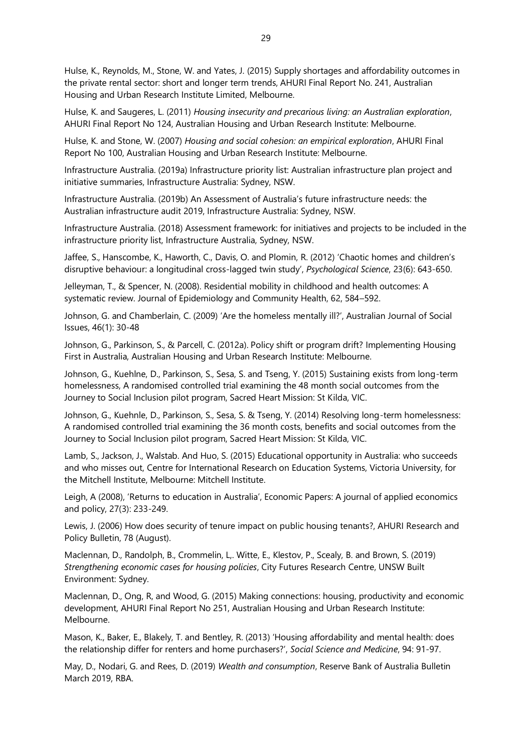Hulse, K., Reynolds, M., Stone, W. and Yates, J. (2015) Supply shortages and affordability outcomes in the private rental sector: short and longer term trends, AHURI Final Report No. 241, Australian Housing and Urban Research Institute Limited, Melbourne.

Hulse, K. and Saugeres, L. (2011) *Housing insecurity and precarious living: an Australian exploration*, AHURI Final Report No 124, Australian Housing and Urban Research Institute: Melbourne.

Hulse, K. and Stone, W. (2007) *Housing and social cohesion: an empirical exploration*, AHURI Final Report No 100, Australian Housing and Urban Research Institute: Melbourne.

Infrastructure Australia. (2019a) Infrastructure priority list: Australian infrastructure plan project and initiative summaries, Infrastructure Australia: Sydney, NSW.

Infrastructure Australia. (2019b) An Assessment of Australia's future infrastructure needs: the Australian infrastructure audit 2019, Infrastructure Australia: Sydney, NSW.

Infrastructure Australia. (2018) Assessment framework: for initiatives and projects to be included in the infrastructure priority list, Infrastructure Australia, Sydney, NSW.

Jaffee, S., Hanscombe, K., Haworth, C., Davis, O. and Plomin, R. (2012) 'Chaotic homes and children's disruptive behaviour: a longitudinal cross-lagged twin study', *Psychological Science*, 23(6): 643-650.

Jelleyman, T., & Spencer, N. (2008). Residential mobility in childhood and health outcomes: A systematic review. Journal of Epidemiology and Community Health, 62, 584–592.

Johnson, G. and Chamberlain, C. (2009) 'Are the homeless mentally ill?', Australian Journal of Social Issues, 46(1): 30-48

Johnson, G., Parkinson, S., & Parcell, C. (2012a). Policy shift or program drift? Implementing Housing First in Australia, Australian Housing and Urban Research Institute: Melbourne.

Johnson, G., Kuehlne, D., Parkinson, S., Sesa, S. and Tseng, Y. (2015) Sustaining exists from long-term homelessness, A randomised controlled trial examining the 48 month social outcomes from the Journey to Social Inclusion pilot program, Sacred Heart Mission: St Kilda, VIC.

Johnson, G., Kuehnle, D., Parkinson, S., Sesa, S. & Tseng, Y. (2014) Resolving long-term homelessness: A randomised controlled trial examining the 36 month costs, benefits and social outcomes from the Journey to Social Inclusion pilot program, Sacred Heart Mission: St Kilda, VIC.

Lamb, S., Jackson, J., Walstab. And Huo, S. (2015) Educational opportunity in Australia: who succeeds and who misses out, Centre for International Research on Education Systems, Victoria University, for the Mitchell Institute, Melbourne: Mitchell Institute.

Leigh, A (2008), 'Returns to education in Australia', Economic Papers: A journal of applied economics and policy, 27(3): 233-249.

Lewis, J. (2006) How does security of tenure impact on public housing tenants?, AHURI Research and Policy Bulletin, 78 (August).

Maclennan, D., Randolph, B., Crommelin, L,. Witte, E., Klestov, P., Scealy, B. and Brown, S. (2019) *Strengthening economic cases for housing policies*, City Futures Research Centre, UNSW Built Environment: Sydney.

Maclennan, D., Ong, R, and Wood, G. (2015) Making connections: housing, productivity and economic development, AHURI Final Report No 251, Australian Housing and Urban Research Institute: Melbourne.

Mason, K., Baker, E., Blakely, T. and Bentley, R. (2013) 'Housing affordability and mental health: does the relationship differ for renters and home purchasers?', *Social Science and Medicine*, 94: 91-97.

May, D., Nodari, G. and Rees, D. (2019) *Wealth and consumption*, Reserve Bank of Australia Bulletin March 2019, RBA.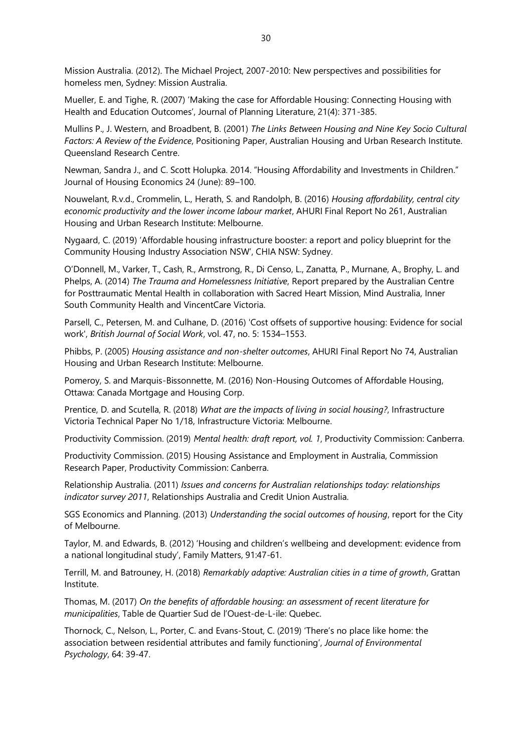Mission Australia. (2012). The Michael Project, 2007-2010: New perspectives and possibilities for homeless men, Sydney: Mission Australia.

Mueller, E. and Tighe, R. (2007) 'Making the case for Affordable Housing: Connecting Housing with Health and Education Outcomes', Journal of Planning Literature, 21(4): 371-385.

Mullins P., J. Western, and Broadbent, B. (2001) *The Links Between Housing and Nine Key Socio Cultural Factors: A Review of the Evidence*, Positioning Paper, Australian Housing and Urban Research Institute. Queensland Research Centre.

Newman, Sandra J., and C. Scott Holupka. 2014. "Housing Affordability and Investments in Children." Journal of Housing Economics 24 (June): 89–100.

Nouwelant, R.v.d., Crommelin, L., Herath, S. and Randolph, B. (2016) *Housing affordability, central city economic productivity and the lower income labour market*, AHURI Final Report No 261, Australian Housing and Urban Research Institute: Melbourne.

Nygaard, C. (2019) 'Affordable housing infrastructure booster: a report and policy blueprint for the Community Housing Industry Association NSW', CHIA NSW: Sydney.

O'Donnell, M., Varker, T., Cash, R., Armstrong, R., Di Censo, L., Zanatta, P., Murnane, A., Brophy, L. and Phelps, A. (2014) *The Trauma and Homelessness Initiative*, Report prepared by the Australian Centre for Posttraumatic Mental Health in collaboration with Sacred Heart Mission, Mind Australia, Inner South Community Health and VincentCare Victoria.

Parsell, C., Petersen, M. and Culhane, D. (2016) 'Cost offsets of supportive housing: Evidence for social work', *British Journal of Social Work*, vol. 47, no. 5: 1534–1553.

Phibbs, P. (2005) *Housing assistance and non-shelter outcomes*, AHURI Final Report No 74, Australian Housing and Urban Research Institute: Melbourne.

Pomeroy, S. and Marquis-Bissonnette, M. (2016) Non-Housing Outcomes of Affordable Housing, Ottawa: Canada Mortgage and Housing Corp.

Prentice, D. and Scutella, R. (2018) *What are the impacts of living in social housing?*, Infrastructure Victoria Technical Paper No 1/18, Infrastructure Victoria: Melbourne.

Productivity Commission. (2019) *Mental health: draft report, vol. 1*, Productivity Commission: Canberra.

Productivity Commission. (2015) Housing Assistance and Employment in Australia, Commission Research Paper, Productivity Commission: Canberra.

Relationship Australia. (2011) *Issues and concerns for Australian relationships today: relationships indicator survey 2011*, Relationships Australia and Credit Union Australia.

SGS Economics and Planning. (2013) *Understanding the social outcomes of housing*, report for the City of Melbourne.

Taylor, M. and Edwards, B. (2012) 'Housing and children's wellbeing and development: evidence from a national longitudinal study', Family Matters, 91:47-61.

Terrill, M. and Batrouney, H. (2018) *Remarkably adaptive: Australian cities in a time of growth*, Grattan Institute.

Thomas, M. (2017) *On the benefits of affordable housing: an assessment of recent literature for municipalities*, Table de Quartier Sud de l'Ouest-de-L-ile: Quebec.

Thornock, C., Nelson, L., Porter, C. and Evans-Stout, C. (2019) 'There's no place like home: the association between residential attributes and family functioning', *Journal of Environmental Psychology*, 64: 39-47.